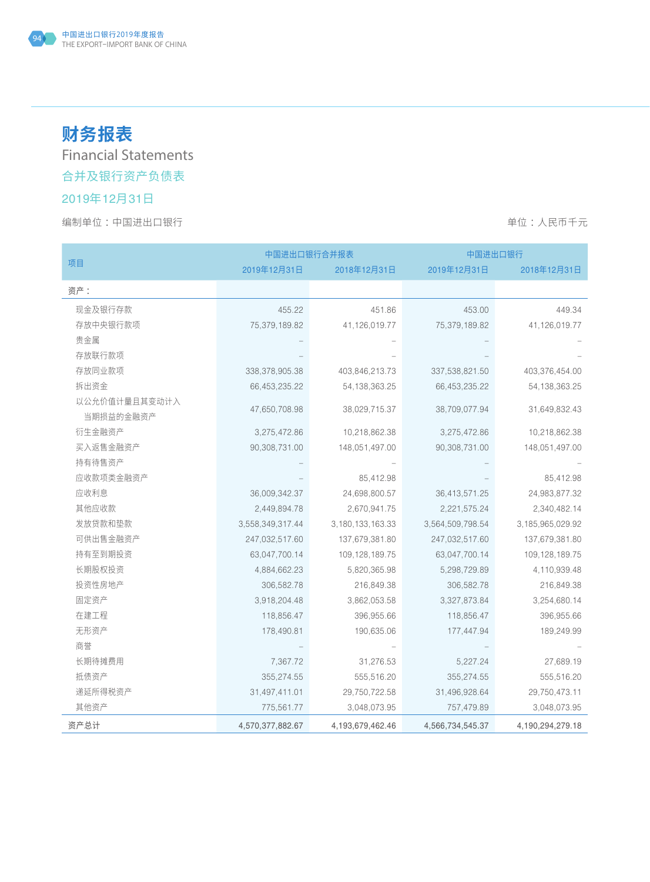# **财务报表**

Financial Statements

## 合并及银行资产负债表

## 2019年12月31日

|                            |                  | 中国进出口银行合并报表         |                  | 中国进出口银行              |  |  |
|----------------------------|------------------|---------------------|------------------|----------------------|--|--|
| 项目                         | 2019年12月31日      | 2018年12月31日         | 2019年12月31日      | 2018年12月31日          |  |  |
| 资产:                        |                  |                     |                  |                      |  |  |
| 现金及银行存款                    | 455.22           | 451.86              | 453.00           | 449.34               |  |  |
| 存放中央银行款项                   | 75,379,189.82    | 41,126,019.77       | 75,379,189.82    | 41,126,019.77        |  |  |
| 贵金属                        |                  |                     |                  |                      |  |  |
| 存放联行款项                     |                  |                     |                  |                      |  |  |
| 存放同业款项                     | 338,378,905.38   | 403,846,213.73      | 337,538,821.50   | 403,376,454.00       |  |  |
| 拆出资金                       | 66,453,235.22    | 54, 138, 363. 25    | 66,453,235.22    | 54, 138, 363. 25     |  |  |
| 以公允价值计量且其变动计入<br>当期损益的金融资产 | 47,650,708.98    | 38,029,715.37       | 38,709,077.94    | 31,649,832.43        |  |  |
| 衍生金融资产                     | 3,275,472.86     | 10,218,862.38       | 3,275,472.86     | 10,218,862.38        |  |  |
| 买入返售金融资产                   | 90,308,731.00    | 148,051,497.00      | 90,308,731.00    | 148,051,497.00       |  |  |
| 持有待售资产                     |                  |                     |                  |                      |  |  |
| 应收款项类金融资产                  |                  | 85,412.98           |                  | 85,412.98            |  |  |
| 应收利息                       | 36,009,342.37    | 24,698,800.57       | 36,413,571.25    | 24,983,877.32        |  |  |
| 其他应收款                      | 2,449,894.78     | 2,670,941.75        | 2,221,575.24     | 2,340,482.14         |  |  |
| 发放贷款和垫款                    | 3,558,349,317.44 | 3, 180, 133, 163.33 | 3,564,509,798.54 | 3, 185, 965, 029. 92 |  |  |
| 可供出售金融资产                   | 247,032,517.60   | 137,679,381.80      | 247,032,517.60   | 137,679,381.80       |  |  |
| 持有至到期投资                    | 63,047,700.14    | 109, 128, 189.75    | 63,047,700.14    | 109, 128, 189. 75    |  |  |
| 长期股权投资                     | 4,884,662.23     | 5,820,365.98        | 5,298,729.89     | 4,110,939.48         |  |  |
| 投资性房地产                     | 306,582.78       | 216,849.38          | 306,582.78       | 216,849.38           |  |  |
| 固定资产                       | 3,918,204.48     | 3,862,053.58        | 3,327,873.84     | 3,254,680.14         |  |  |
| 在建工程                       | 118,856.47       | 396,955.66          | 118,856.47       | 396,955.66           |  |  |
| 无形资产                       | 178,490.81       | 190,635.06          | 177,447.94       | 189,249.99           |  |  |
| 商誉                         |                  |                     |                  |                      |  |  |
| 长期待摊费用                     | 7,367.72         | 31,276.53           | 5,227.24         | 27,689.19            |  |  |
| 抵债资产                       | 355,274.55       | 555,516.20          | 355,274.55       | 555,516.20           |  |  |
| 递延所得税资产                    | 31,497,411.01    | 29,750,722.58       | 31,496,928.64    | 29,750,473.11        |  |  |
| 其他资产                       | 775,561.77       | 3,048,073.95        | 757,479.89       | 3,048,073.95         |  |  |
| 资产总计                       | 4,570,377,882.67 | 4,193,679,462.46    | 4,566,734,545.37 | 4,190,294,279.18     |  |  |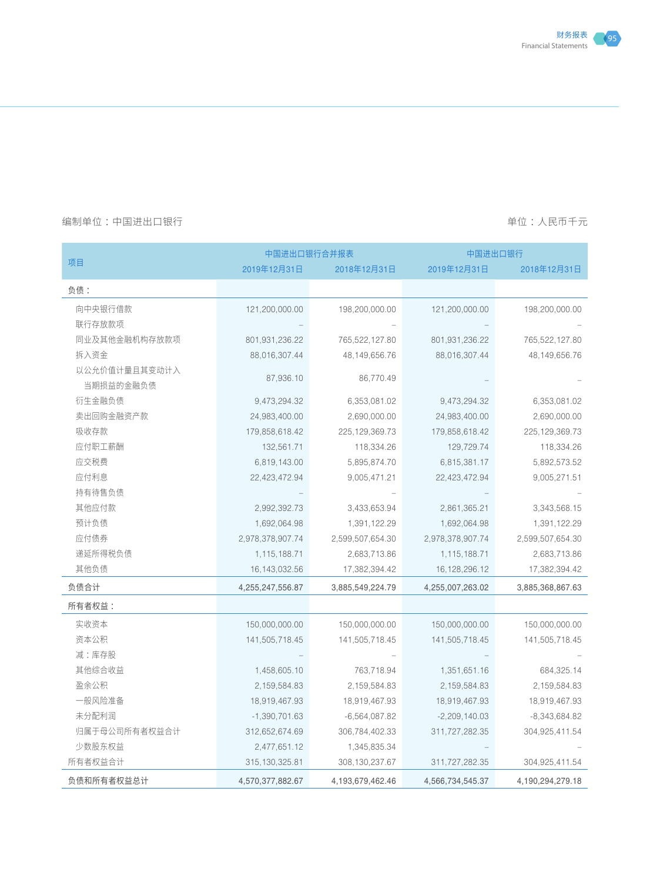|               | 中国进出口银行合并报表      |                   |                  | 中国进出口银行           |  |  |
|---------------|------------------|-------------------|------------------|-------------------|--|--|
| 项目            | 2019年12月31日      | 2018年12月31日       | 2019年12月31日      | 2018年12月31日       |  |  |
| 负债:           |                  |                   |                  |                   |  |  |
| 向中央银行借款       | 121,200,000.00   | 198,200,000.00    | 121,200,000.00   | 198,200,000.00    |  |  |
| 联行存放款项        |                  |                   |                  |                   |  |  |
| 同业及其他金融机构存放款项 | 801,931,236.22   | 765,522,127.80    | 801,931,236.22   | 765,522,127.80    |  |  |
| 拆入资金          | 88,016,307.44    | 48, 149, 656. 76  | 88,016,307.44    | 48, 149, 656. 76  |  |  |
| 以公允价值计量且其变动计入 |                  |                   |                  |                   |  |  |
| 当期损益的金融负债     | 87,936.10        | 86,770.49         |                  |                   |  |  |
| 衍生金融负债        | 9,473,294.32     | 6,353,081.02      | 9,473,294.32     | 6,353,081.02      |  |  |
| 卖出回购金融资产款     | 24,983,400.00    | 2,690,000.00      | 24,983,400.00    | 2,690,000.00      |  |  |
| 吸收存款          | 179,858,618.42   | 225, 129, 369. 73 | 179,858,618.42   | 225, 129, 369. 73 |  |  |
| 应付职工薪酬        | 132,561.71       | 118,334.26        | 129,729.74       | 118,334.26        |  |  |
| 应交税费          | 6,819,143.00     | 5,895,874.70      | 6,815,381.17     | 5,892,573.52      |  |  |
| 应付利息          | 22,423,472.94    | 9,005,471.21      | 22,423,472.94    | 9,005,271.51      |  |  |
| 持有待售负债        |                  |                   |                  |                   |  |  |
| 其他应付款         | 2,992,392.73     | 3,433,653.94      | 2,861,365.21     | 3,343,568.15      |  |  |
| 预计负债          | 1,692,064.98     | 1,391,122.29      | 1,692,064.98     | 1,391,122.29      |  |  |
| 应付债券          | 2,978,378,907.74 | 2,599,507,654.30  | 2,978,378,907.74 | 2,599,507,654.30  |  |  |
| 递延所得税负债       | 1,115,188.71     | 2,683,713.86      | 1,115,188.71     | 2,683,713.86      |  |  |
| 其他负债          | 16, 143, 032.56  | 17,382,394.42     | 16, 128, 296. 12 | 17,382,394.42     |  |  |
| 负债合计          | 4,255,247,556.87 | 3,885,549,224.79  | 4,255,007,263.02 | 3,885,368,867.63  |  |  |
| 所有者权益:        |                  |                   |                  |                   |  |  |
| 实收资本          | 150,000,000.00   | 150,000,000.00    | 150,000,000.00   | 150,000,000.00    |  |  |
| 资本公积          | 141,505,718.45   | 141,505,718.45    | 141,505,718.45   | 141,505,718.45    |  |  |
| 减:库存股         |                  |                   |                  |                   |  |  |
| 其他综合收益        | 1,458,605.10     | 763,718.94        | 1,351,651.16     | 684,325.14        |  |  |
| 盈余公积          | 2, 159, 584.83   | 2,159,584.83      | 2, 159, 584.83   | 2,159,584.83      |  |  |
| 一般风险准备        | 18,919,467.93    | 18,919,467.93     | 18,919,467.93    | 18,919,467.93     |  |  |
| 未分配利润         | $-1,390,701.63$  | $-6,564,087.82$   | $-2,209,140.03$  | $-8,343,684.82$   |  |  |
| 归属于母公司所有者权益合计 | 312,652,674.69   | 306,784,402.33    | 311,727,282.35   | 304,925,411.54    |  |  |
| 少数股东权益        | 2,477,651.12     | 1,345,835.34      |                  |                   |  |  |
| 所有者权益合计       | 315, 130, 325.81 | 308, 130, 237.67  | 311,727,282.35   | 304,925,411.54    |  |  |
| 负债和所有者权益总计    | 4,570,377,882.67 | 4,193,679,462.46  | 4,566,734,545.37 | 4,190,294,279.18  |  |  |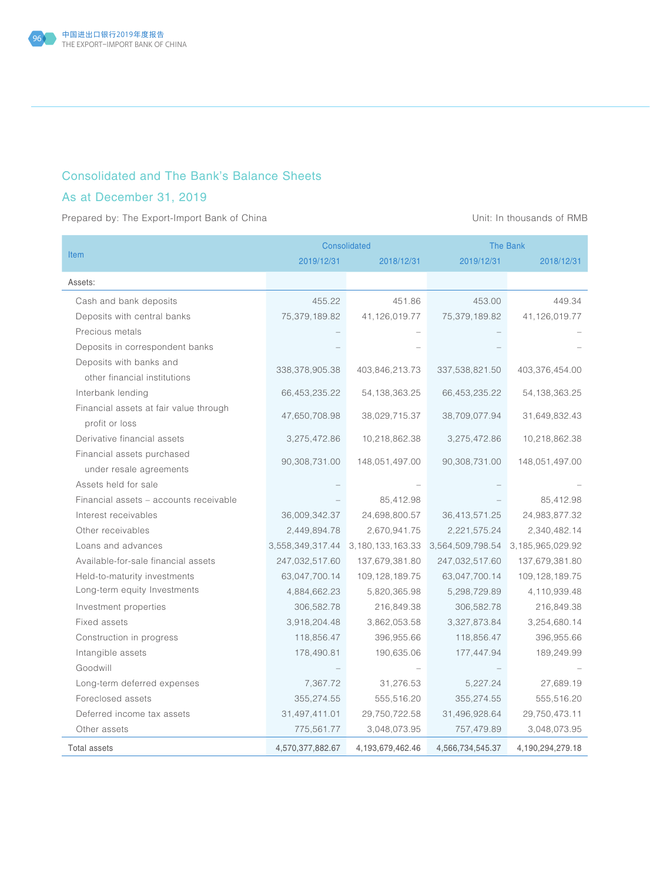## Consolidated and The Bank's Balance Sheets

## As at December 31, 2019

Prepared by: The Export-Import Bank of China View China Unit: In thousands of RMB

|                                        |                   | <b>Consolidated</b>  | <b>The Bank</b>  |                   |
|----------------------------------------|-------------------|----------------------|------------------|-------------------|
| <b>Item</b>                            | 2019/12/31        | 2018/12/31           | 2019/12/31       | 2018/12/31        |
| Assets:                                |                   |                      |                  |                   |
| Cash and bank deposits                 | 455.22            | 451.86               | 453.00           | 449.34            |
| Deposits with central banks            | 75,379,189.82     | 41,126,019.77        | 75,379,189.82    | 41,126,019.77     |
| Precious metals                        |                   |                      |                  |                   |
| Deposits in correspondent banks        |                   |                      |                  |                   |
| Deposits with banks and                |                   |                      |                  |                   |
| other financial institutions           | 338, 378, 905. 38 | 403,846,213.73       | 337,538,821.50   | 403,376,454.00    |
| Interbank lending                      | 66,453,235.22     | 54, 138, 363. 25     | 66,453,235.22    | 54, 138, 363. 25  |
| Financial assets at fair value through | 47,650,708.98     | 38,029,715.37        | 38,709,077.94    | 31,649,832.43     |
| profit or loss                         |                   |                      |                  |                   |
| Derivative financial assets            | 3,275,472.86      | 10,218,862.38        | 3,275,472.86     | 10,218,862.38     |
| Financial assets purchased             | 90,308,731.00     |                      |                  |                   |
| under resale agreements                |                   | 148,051,497.00       | 90,308,731.00    | 148,051,497.00    |
| Assets held for sale                   |                   |                      |                  |                   |
| Financial assets - accounts receivable |                   | 85,412.98            |                  | 85,412.98         |
| Interest receivables                   | 36,009,342.37     | 24,698,800.57        | 36,413,571.25    | 24,983,877.32     |
| Other receivables                      | 2,449,894.78      | 2,670,941.75         | 2,221,575.24     | 2,340,482.14      |
| Loans and advances                     | 3,558,349,317.44  | 3, 180, 133, 163. 33 | 3,564,509,798.54 | 3,185,965,029.92  |
| Available-for-sale financial assets    | 247,032,517.60    | 137,679,381.80       | 247,032,517.60   | 137,679,381.80    |
| Held-to-maturity investments           | 63,047,700.14     | 109, 128, 189. 75    | 63,047,700.14    | 109, 128, 189. 75 |
| Long-term equity Investments           | 4,884,662.23      | 5,820,365.98         | 5,298,729.89     | 4,110,939.48      |
| Investment properties                  | 306,582.78        | 216,849.38           | 306,582.78       | 216,849.38        |
| Fixed assets                           | 3,918,204.48      | 3,862,053.58         | 3,327,873.84     | 3,254,680.14      |
| Construction in progress               | 118,856.47        | 396,955.66           | 118,856.47       | 396,955.66        |
| Intangible assets                      | 178,490.81        | 190,635.06           | 177,447.94       | 189,249.99        |
| Goodwill                               |                   |                      |                  |                   |
| Long-term deferred expenses            | 7,367.72          | 31,276.53            | 5,227.24         | 27,689.19         |
| Foreclosed assets                      | 355,274.55        | 555,516.20           | 355,274.55       | 555,516.20        |
| Deferred income tax assets             | 31,497,411.01     | 29,750,722.58        | 31,496,928.64    | 29,750,473.11     |
| Other assets                           | 775,561.77        | 3,048,073.95         | 757,479.89       | 3,048,073.95      |
| <b>Total assets</b>                    | 4,570,377,882.67  | 4,193,679,462.46     | 4,566,734,545.37 | 4,190,294,279.18  |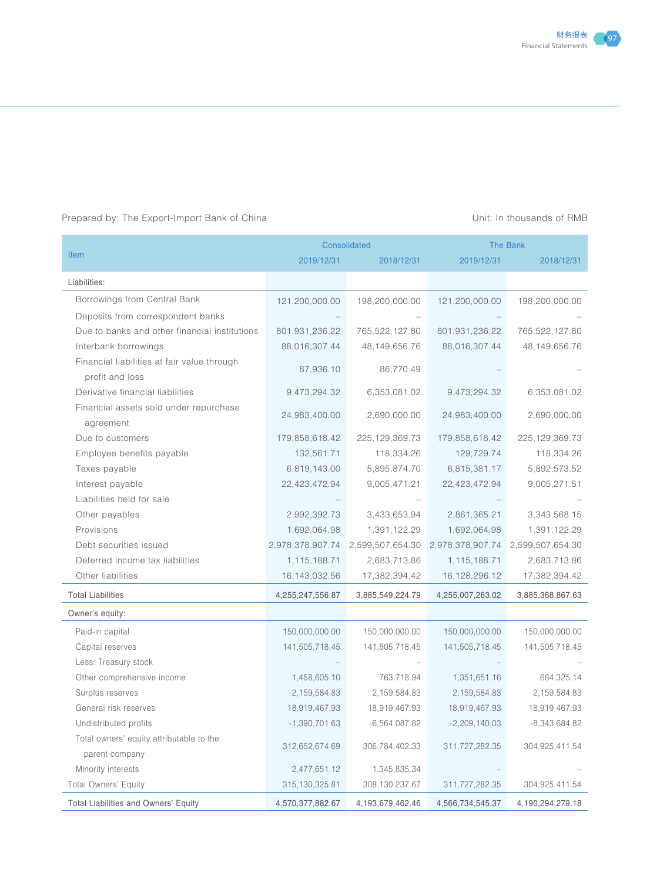### Prepared by: The Export-Import Bank of China Unit: In thousands of RMB

|                                               |                  | Consolidated      | The Bank                                           |                   |
|-----------------------------------------------|------------------|-------------------|----------------------------------------------------|-------------------|
| <b>Item</b>                                   | 2019/12/31       | 2018/12/31        | 2019/12/31                                         | 2018/12/31        |
| Liabilities:                                  |                  |                   |                                                    |                   |
| Borrowings from Central Bank                  | 121,200,000.00   | 198,200,000.00    | 121,200,000.00                                     | 198,200,000.00    |
| Deposits from correspondent banks             |                  |                   |                                                    |                   |
| Due to banks and other financial institutions | 801,931,236.22   | 765,522,127.80    | 801,931,236.22                                     | 765,522,127.80    |
| Interbank borrowings                          | 88,016,307.44    | 48,149,656.76     | 88,016,307.44                                      | 48,149,656.76     |
| Financial liabilities at fair value through   |                  |                   |                                                    |                   |
| profit and loss                               | 87,936.10        | 86,770.49         |                                                    |                   |
| Derivative financial liabilities              | 9,473,294.32     | 6,353,081.02      | 9,473,294.32                                       | 6,353,081.02      |
| Financial assets sold under repurchase        |                  |                   |                                                    |                   |
| agreement                                     | 24,983,400.00    | 2,690,000.00      | 24,983,400.00                                      | 2,690,000.00      |
| Due to customers                              | 179,858,618.42   | 225, 129, 369. 73 | 179,858,618.42                                     | 225, 129, 369. 73 |
| Employee benefits payable                     | 132,561.71       | 118,334.26        | 129,729.74                                         | 118,334.26        |
| Taxes payable                                 | 6,819,143.00     | 5,895,874.70      | 6,815,381.17                                       | 5,892,573.52      |
| Interest payable                              | 22,423,472.94    | 9,005,471.21      | 22,423,472.94                                      | 9,005,271.51      |
| Liabilities held for sale                     |                  |                   |                                                    |                   |
| Other payables                                | 2,992,392.73     | 3,433,653.94      | 2,861,365.21                                       | 3,343,568.15      |
| Provisions                                    | 1,692,064.98     | 1,391,122.29      | 1,692,064.98                                       | 1,391,122.29      |
| Debt securities issued                        | 2,978,378,907.74 |                   | 2,599,507,654.30 2,978,378,907.74 2,599,507,654.30 |                   |
| Deferred income tax liabilities               | 1,115,188.71     | 2,683,713.86      | 1,115,188.71                                       | 2,683,713.86      |
| Other liabilities                             | 16, 143, 032.56  | 17,382,394.42     | 16, 128, 296. 12                                   | 17,382,394.42     |
| <b>Total Liabilities</b>                      | 4,255,247,556.87 | 3,885,549,224.79  | 4,255,007,263.02                                   | 3,885,368,867.63  |
| Owner's equity:                               |                  |                   |                                                    |                   |
| Paid-in capital                               | 150,000,000.00   | 150,000,000.00    | 150,000,000.00                                     | 150,000,000.00    |
| Capital reserves                              | 141,505,718.45   | 141,505,718.45    | 141,505,718.45                                     | 141,505,718.45    |
| Less: Treasury stock                          |                  |                   |                                                    |                   |
| Other comprehensive income                    | 1,458,605.10     | 763,718.94        | 1,351,651.16                                       | 684,325.14        |
| Surplus reserves                              | 2, 159, 584.83   | 2,159,584.83      | 2,159,584.83                                       | 2,159,584.83      |
| General risk reserves                         | 18,919,467.93    | 18,919,467.93     | 18,919,467.93                                      | 18,919,467.93     |
| Undistributed profits                         | $-1,390,701.63$  | $-6,564,087.82$   | $-2,209,140.03$                                    | $-8,343,684.82$   |
| Total owners' equity attributable to the      | 312,652,674.69   | 306,784,402.33    | 311,727,282.35                                     | 304,925,411.54    |
| parent company                                |                  |                   |                                                    |                   |
| Minority interests                            | 2,477,651.12     | 1,345,835.34      |                                                    |                   |
| Total Owners' Equity                          | 315, 130, 325.81 | 308, 130, 237.67  | 311,727,282.35                                     | 304,925,411.54    |
| Total Liabilities and Owners' Equity          | 4,570,377,882.67 | 4,193,679,462.46  | 4,566,734,545.37                                   | 4,190,294,279.18  |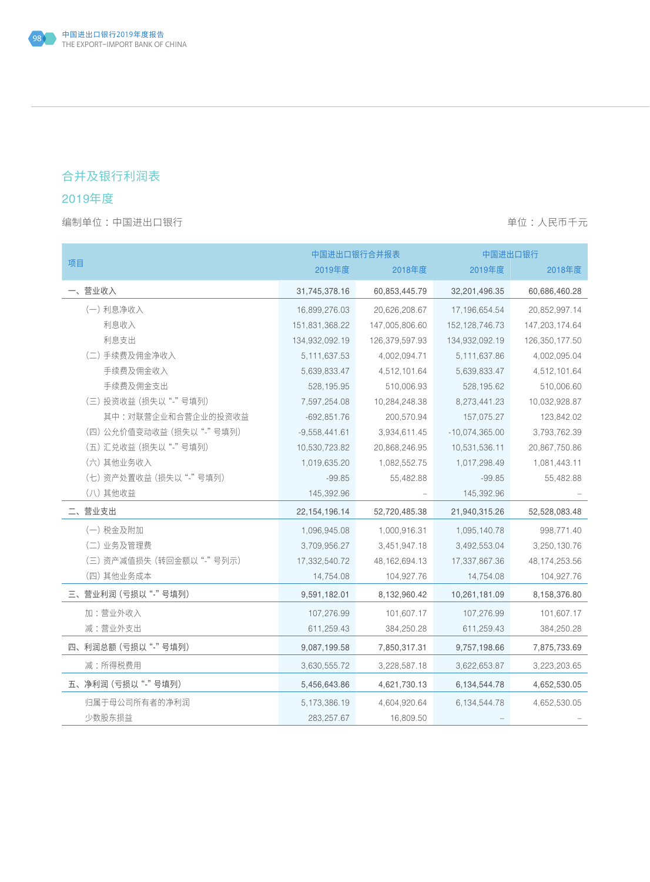## 合并及银行利润表

## 2019年度

|                         |                  | 中国进出口银行合并报表      | 中国进出口银行           |                 |
|-------------------------|------------------|------------------|-------------------|-----------------|
| 项目                      | 2019年度           | 2018年度           | 2019年度            | 2018年度          |
| 一、营业收入                  | 31,745,378.16    | 60,853,445.79    | 32,201,496.35     | 60,686,460.28   |
| (一) 利息净收入               | 16,899,276.03    | 20,626,208.67    | 17, 196, 654.54   | 20,852,997.14   |
| 利息收入                    | 151,831,368.22   | 147,005,806.60   | 152, 128, 746. 73 | 147,203,174.64  |
| 利息支出                    | 134,932,092.19   | 126,379,597.93   | 134,932,092.19    | 126,350,177.50  |
| (二) 手续费及佣金净收入           | 5, 111, 637.53   | 4,002,094.71     | 5,111,637.86      | 4,002,095.04    |
| 手续费及佣金收入                | 5,639,833.47     | 4,512,101.64     | 5,639,833.47      | 4,512,101.64    |
| 手续费及佣金支出                | 528,195.95       | 510,006.93       | 528,195.62        | 510,006.60      |
| (三) 投资收益 (损失以"-"号填列)    | 7,597,254.08     | 10,284,248.38    | 8,273,441.23      | 10,032,928.87   |
| 其中: 对联营企业和合营企业的投资收益     | $-692,851.76$    | 200,570.94       | 157,075.27        | 123,842.02      |
| (四)公允价值变动收益(损失以"-"号填列)  | $-9,558,441.61$  | 3,934,611.45     | $-10,074,365.00$  | 3,793,762.39    |
| (五) 汇兑收益 (损失以"-"号填列)    | 10,530,723.82    | 20,868,246.95    | 10,531,536.11     | 20,867,750.86   |
| (六) 其他业务收入              | 1,019,635.20     | 1,082,552.75     | 1,017,298.49      | 1,081,443.11    |
| (七)资产处置收益(损失以"-"号填列)    | $-99.85$         | 55,482.88        | $-99.85$          | 55,482.88       |
| (八) 其他收益                | 145,392.96       |                  | 145,392.96        |                 |
| 二、营业支出                  | 22, 154, 196. 14 | 52,720,485.38    | 21,940,315.26     | 52,528,083.48   |
| (一) 税金及附加               | 1,096,945.08     | 1,000,916.31     | 1,095,140.78      | 998,771.40      |
| (二) 业务及管理费              | 3,709,956.27     | 3,451,947.18     | 3,492,553.04      | 3,250,130.76    |
| (三)资产减值损失 (转回金额以"-"号列示) | 17,332,540.72    | 48, 162, 694. 13 | 17,337,867.36     | 48, 174, 253.56 |
| (四) 其他业务成本              | 14,754.08        | 104,927.76       | 14,754.08         | 104,927.76      |
| 三、营业利润 (亏损以"-"号填列)      | 9,591,182.01     | 8,132,960.42     | 10,261,181.09     | 8,158,376.80    |
| 加:营业外收入                 | 107,276.99       | 101,607.17       | 107,276.99        | 101,607.17      |
| 减:营业外支出                 | 611,259.43       | 384,250.28       | 611,259.43        | 384,250.28      |
| 四、利润总额 (亏损以"-"号填列)      | 9,087,199.58     | 7,850,317.31     | 9,757,198.66      | 7,875,733.69    |
| 减:所得税费用                 | 3,630,555.72     | 3,228,587.18     | 3,622,653.87      | 3,223,203.65    |
| 五、净利润 (亏损以"-"号填列)       | 5,456,643.86     | 4,621,730.13     | 6,134,544.78      | 4,652,530.05    |
| 归属于母公司所有者的净利润           | 5,173,386.19     | 4,604,920.64     | 6,134,544.78      | 4,652,530.05    |
| 少数股东损益                  | 283, 257.67      | 16,809.50        |                   |                 |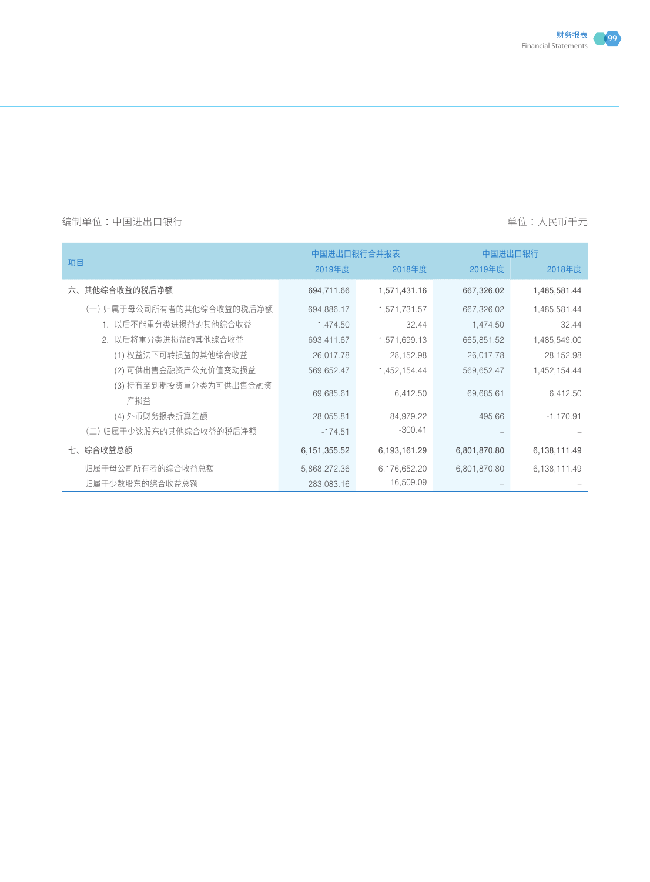

|                               |                | 中国进出口银行<br>中国进出口银行合并报表 |              |              |
|-------------------------------|----------------|------------------------|--------------|--------------|
| 项目                            | 2019年度         | 2018年度                 | 2019年度       | 2018年度       |
| 六、其他综合收益的税后净额                 | 694,711.66     | 1,571,431.16           | 667,326.02   | 1,485,581.44 |
| (一)归属于母公司所有者的其他综合收益的税后净额      | 694,886.17     | 1,571,731.57           | 667,326.02   | 1,485,581.44 |
| 1. 以后不能重分类进损益的其他综合收益          | 1,474.50       | 32.44                  | 1,474.50     | 32.44        |
| 2. 以后将重分类进损益的其他综合收益           | 693,411.67     | 1,571,699.13           | 665,851.52   | 1,485,549.00 |
| (1) 权益法下可转损益的其他综合收益           | 26,017.78      | 28, 152.98             | 26,017.78    | 28,152.98    |
| (2) 可供出售金融资产公允价值变动损益          | 569,652.47     | 1,452,154.44           | 569,652.47   | 1,452,154.44 |
| (3) 持有至到期投资重分类为可供出售金融资<br>产损益 | 69,685.61      | 6,412.50               | 69,685.61    | 6,412.50     |
| (4) 外币财务报表折算差额                | 28,055.81      | 84,979.22              | 495.66       | $-1,170.91$  |
| (二)归属于少数股东的其他综合收益的税后净额        | $-174.51$      | $-300.41$              |              |              |
| 七、综合收益总额                      | 6, 151, 355.52 | 6,193,161.29           | 6,801,870.80 | 6,138,111.49 |
| 归属于母公司所有者的综合收益总额              | 5,868,272.36   | 6,176,652.20           | 6,801,870.80 | 6,138,111.49 |
| 归属干少数股东的综合收益总额                | 283,083.16     | 16,509.09              |              |              |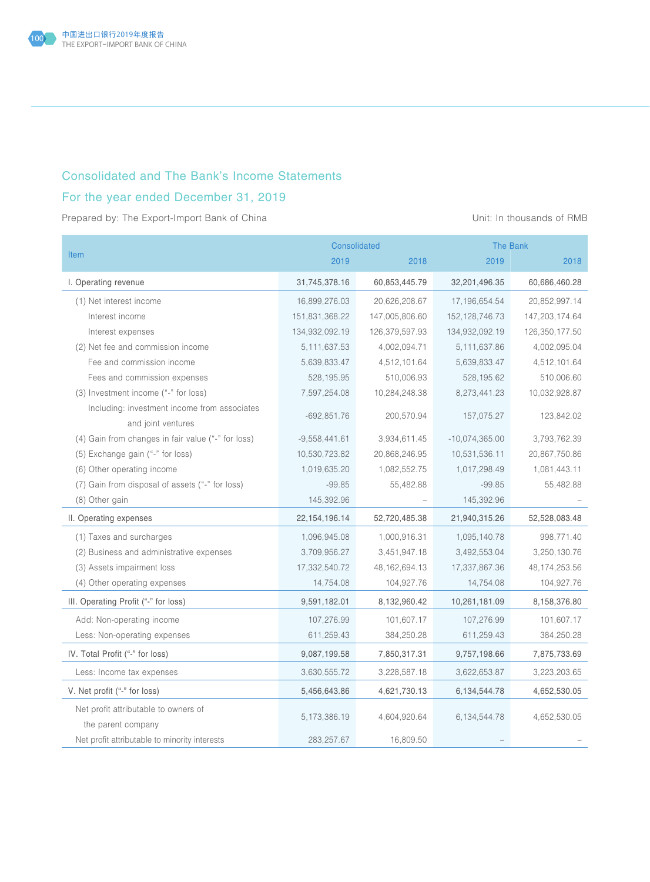

### Consolidated and The Bank's Income Statements

## For the year ended December 31, 2019

Prepared by: The Export-Import Bank of China View China Unit: In thousands of RMB

|                                                            | Consolidated<br><b>The Bank</b> |                  |                   |                  |
|------------------------------------------------------------|---------------------------------|------------------|-------------------|------------------|
| <b>Item</b>                                                | 2019                            | 2018             | 2019              | 2018             |
| I. Operating revenue                                       | 31,745,378.16                   | 60,853,445.79    | 32,201,496.35     | 60,686,460.28    |
| (1) Net interest income                                    | 16,899,276.03                   | 20,626,208.67    | 17,196,654.54     | 20,852,997.14    |
| Interest income                                            | 151,831,368.22                  | 147,005,806.60   | 152, 128, 746. 73 | 147,203,174.64   |
| Interest expenses                                          | 134,932,092.19                  | 126,379,597.93   | 134,932,092.19    | 126,350,177.50   |
| (2) Net fee and commission income                          | 5, 111, 637.53                  | 4,002,094.71     | 5,111,637.86      | 4,002,095.04     |
| Fee and commission income                                  | 5,639,833.47                    | 4,512,101.64     | 5,639,833.47      | 4,512,101.64     |
| Fees and commission expenses                               | 528,195.95                      | 510,006.93       | 528, 195.62       | 510,006.60       |
| (3) Investment income ("-" for loss)                       | 7,597,254.08                    | 10,284,248.38    | 8,273,441.23      | 10,032,928.87    |
| Including: investment income from associates               | $-692,851.76$                   | 200,570.94       | 157,075.27        | 123,842.02       |
| and joint ventures                                         |                                 |                  |                   |                  |
| (4) Gain from changes in fair value ("-" for loss)         | $-9,558,441.61$                 | 3,934,611.45     | $-10,074,365.00$  | 3,793,762.39     |
| (5) Exchange gain ("-" for loss)                           | 10,530,723.82                   | 20,868,246.95    | 10,531,536.11     | 20,867,750.86    |
| (6) Other operating income                                 | 1,019,635.20                    | 1,082,552.75     | 1,017,298.49      | 1,081,443.11     |
| (7) Gain from disposal of assets ("-" for loss)            | $-99.85$                        | 55,482.88        | $-99.85$          | 55,482.88        |
| (8) Other gain                                             | 145,392.96                      |                  | 145,392.96        |                  |
| II. Operating expenses                                     | 22, 154, 196. 14                | 52,720,485.38    | 21,940,315.26     | 52,528,083.48    |
| (1) Taxes and surcharges                                   | 1,096,945.08                    | 1,000,916.31     | 1,095,140.78      | 998,771.40       |
| (2) Business and administrative expenses                   | 3,709,956.27                    | 3,451,947.18     | 3,492,553.04      | 3,250,130.76     |
| (3) Assets impairment loss                                 | 17,332,540.72                   | 48, 162, 694. 13 | 17,337,867.36     | 48, 174, 253. 56 |
| (4) Other operating expenses                               | 14,754.08                       | 104,927.76       | 14,754.08         | 104,927.76       |
| III. Operating Profit ("-" for loss)                       | 9,591,182.01                    | 8,132,960.42     | 10,261,181.09     | 8,158,376.80     |
| Add: Non-operating income                                  | 107,276.99                      | 101,607.17       | 107,276.99        | 101,607.17       |
| Less: Non-operating expenses                               | 611,259.43                      | 384,250.28       | 611,259.43        | 384,250.28       |
| IV. Total Profit ("-" for loss)                            | 9,087,199.58                    | 7,850,317.31     | 9,757,198.66      | 7,875,733.69     |
| Less: Income tax expenses                                  | 3,630,555.72                    | 3,228,587.18     | 3,622,653.87      | 3,223,203.65     |
| V. Net profit ("-" for loss)                               | 5,456,643.86                    | 4,621,730.13     | 6,134,544.78      | 4,652,530.05     |
| Net profit attributable to owners of<br>the parent company | 5,173,386.19                    | 4,604,920.64     | 6,134,544.78      | 4,652,530.05     |
| Net profit attributable to minority interests              | 283,257.67                      | 16,809.50        |                   |                  |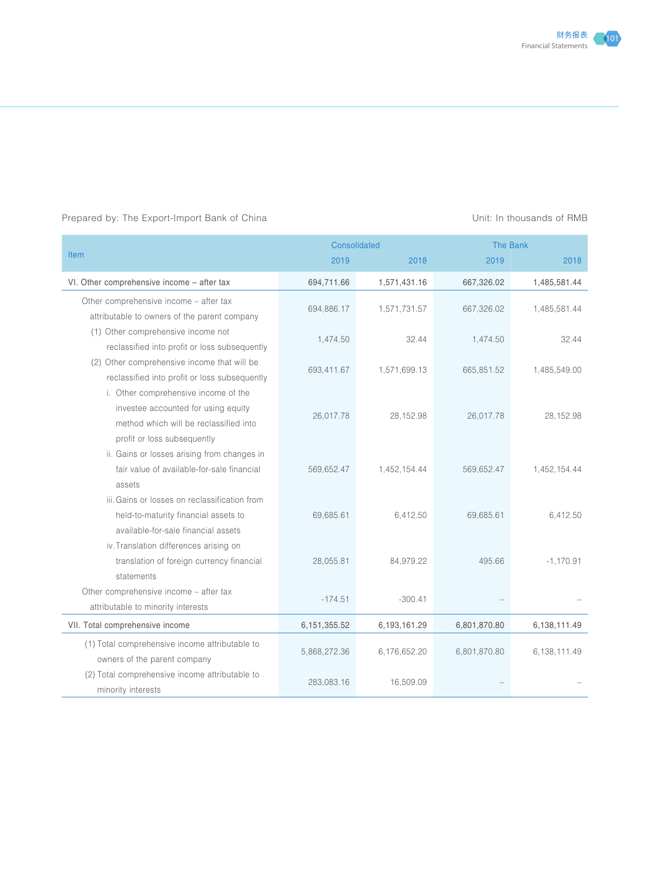#### Prepared by: The Export-Import Bank of China Unit: In thousands of RMB

|                                                | Consolidated |              | <b>The Bank</b> |              |  |
|------------------------------------------------|--------------|--------------|-----------------|--------------|--|
| <b>Item</b>                                    | 2019         | 2018         | 2019            | 2018         |  |
| VI. Other comprehensive income - after tax     | 694,711.66   | 1,571,431.16 | 667,326.02      | 1,485,581.44 |  |
| Other comprehensive income - after tax         |              |              |                 |              |  |
| attributable to owners of the parent company   | 694,886.17   | 1,571,731.57 | 667,326.02      | 1,485,581.44 |  |
| (1) Other comprehensive income not             | 1,474.50     | 32.44        | 1,474.50        | 32.44        |  |
| reclassified into profit or loss subsequently  |              |              |                 |              |  |
| (2) Other comprehensive income that will be    | 693,411.67   | 1,571,699.13 | 665,851.52      | 1,485,549.00 |  |
| reclassified into profit or loss subsequently  |              |              |                 |              |  |
| i. Other comprehensive income of the           |              |              |                 |              |  |
| investee accounted for using equity            | 26,017.78    | 28,152.98    | 26,017.78       | 28,152.98    |  |
| method which will be reclassified into         |              |              |                 |              |  |
| profit or loss subsequently                    |              |              |                 |              |  |
| ii. Gains or losses arising from changes in    |              |              |                 |              |  |
| fair value of available-for-sale financial     | 569,652.47   | 1,452,154.44 | 569,652.47      | 1,452,154.44 |  |
| assets                                         |              |              |                 |              |  |
| iii. Gains or losses on reclassification from  |              |              |                 |              |  |
| held-to-maturity financial assets to           | 69,685.61    | 6,412.50     | 69,685.61       | 6,412.50     |  |
| available-for-sale financial assets            |              |              |                 |              |  |
| iv. Translation differences arising on         |              |              |                 |              |  |
| translation of foreign currency financial      | 28,055.81    | 84,979.22    | 495.66          | $-1,170.91$  |  |
| statements                                     |              |              |                 |              |  |
| Other comprehensive income – after tax         | $-174.51$    | $-300.41$    |                 |              |  |
| attributable to minority interests             |              |              |                 |              |  |
| VII. Total comprehensive income                | 6,151,355.52 | 6,193,161.29 | 6,801,870.80    | 6,138,111.49 |  |
| (1) Total comprehensive income attributable to |              |              |                 |              |  |
| owners of the parent company                   | 5,868,272.36 | 6,176,652.20 | 6,801,870.80    | 6,138,111.49 |  |
| (2) Total comprehensive income attributable to |              |              |                 |              |  |
| minority interests                             | 283,083.16   | 16,509.09    |                 |              |  |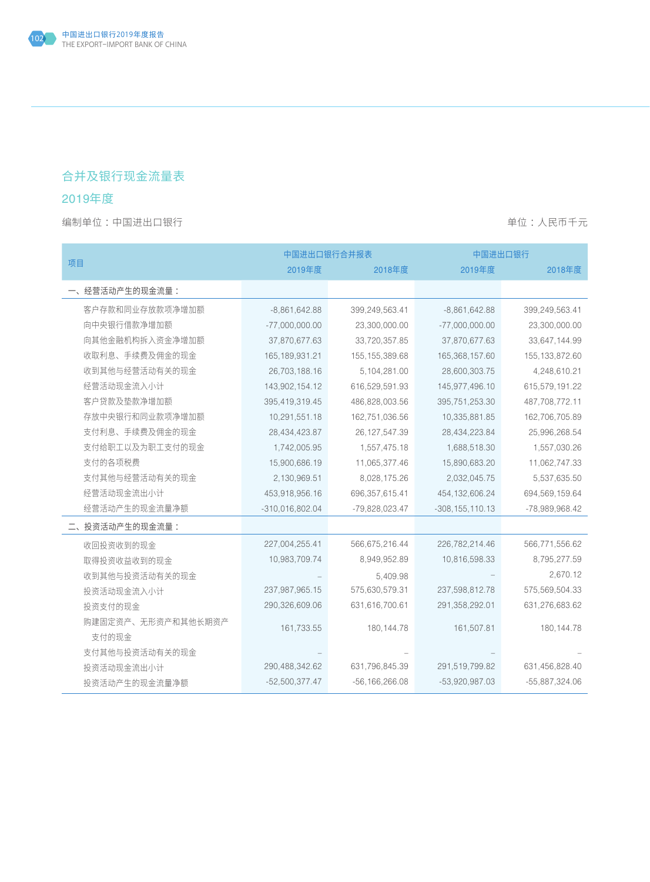## 合并及银行现金流量表

## 2019年度

|                    | 中国进出口银行合并报表       |                    | 中国进出口银行             |                  |  |
|--------------------|-------------------|--------------------|---------------------|------------------|--|
| 项目                 | 2019年度            | 2018年度             | 2019年度              | 2018年度           |  |
| 一、经营活动产生的现金流量:     |                   |                    |                     |                  |  |
| 客户存款和同业存放款项净增加额    | $-8,861,642.88$   | 399,249,563.41     | $-8,861,642.88$     | 399,249,563.41   |  |
| 向中央银行借款净增加额        | $-77,000,000.00$  | 23,300,000.00      | $-77,000,000.00$    | 23,300,000.00    |  |
| 向其他金融机构拆入资金净增加额    | 37,870,677.63     | 33,720,357.85      | 37,870,677.63       | 33,647,144.99    |  |
| 收取利息、手续费及佣金的现金     | 165, 189, 931. 21 | 155, 155, 389.68   | 165,368,157.60      | 155, 133, 872.60 |  |
| 收到其他与经营活动有关的现金     | 26,703,188.16     | 5,104,281.00       | 28,600,303.75       | 4,248,610.21     |  |
| 经营活动现金流入小计         | 143,902,154.12    | 616,529,591.93     | 145,977,496.10      | 615,579,191.22   |  |
| 客户贷款及垫款净增加额        | 395,419,319.45    | 486,828,003.56     | 395,751,253.30      | 487,708,772.11   |  |
| 存放中央银行和同业款项净增加额    | 10,291,551.18     | 162,751,036.56     | 10,335,881.85       | 162,706,705.89   |  |
| 支付利息、手续费及佣金的现金     | 28,434,423.87     | 26, 127, 547.39    | 28,434,223.84       | 25,996,268.54    |  |
| 支付给职工以及为职工支付的现金    | 1,742,005.95      | 1,557,475.18       | 1,688,518.30        | 1,557,030.26     |  |
| 支付的各项税费            | 15,900,686.19     | 11,065,377.46      | 15,890,683.20       | 11,062,747.33    |  |
| 支付其他与经营活动有关的现金     | 2,130,969.51      | 8,028,175.26       | 2,032,045.75        | 5,537,635.50     |  |
| 经营活动现金流出小计         | 453,918,956.16    | 696, 357, 615.41   | 454, 132, 606. 24   | 694,569,159.64   |  |
| 经营活动产生的现金流量净额      | $-310,016,802.04$ | $-79,828,023.47$   | $-308, 155, 110.13$ | -78,989,968.42   |  |
| 二、投资活动产生的现金流量:     |                   |                    |                     |                  |  |
| 收回投资收到的现金          | 227,004,255.41    | 566,675,216.44     | 226,782,214.46      | 566,771,556.62   |  |
| 取得投资收益收到的现金        | 10,983,709.74     | 8,949,952.89       | 10,816,598.33       | 8,795,277.59     |  |
| 收到其他与投资活动有关的现金     |                   | 5,409.98           |                     | 2,670.12         |  |
| 投资活动现金流入小计         | 237,987,965.15    | 575,630,579.31     | 237,598,812.78      | 575,569,504.33   |  |
| 投资支付的现金            | 290,326,609.06    | 631,616,700.61     | 291,358,292.01      | 631,276,683.62   |  |
| 购建固定资产、无形资产和其他长期资产 |                   |                    |                     |                  |  |
| 支付的现金              | 161,733.55        | 180, 144. 78       | 161,507.81          | 180, 144.78      |  |
| 支付其他与投资活动有关的现金     |                   |                    |                     |                  |  |
| 投资活动现金流出小计         | 290,488,342.62    | 631,796,845.39     | 291,519,799.82      | 631,456,828.40   |  |
| 投资活动产生的现金流量净额      | $-52,500,377.47$  | $-56, 166, 266.08$ | $-53,920,987.03$    | $-55,887,324.06$ |  |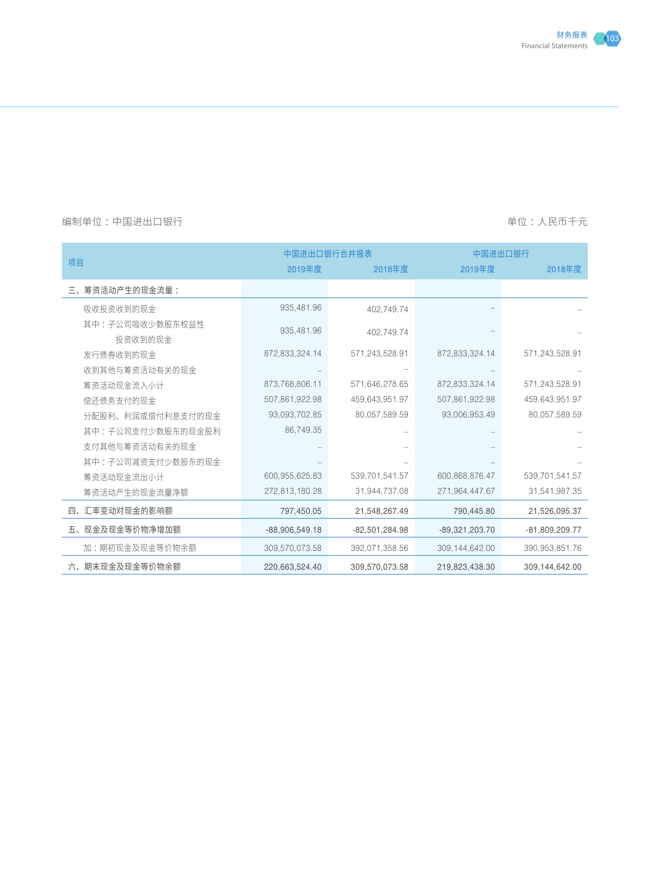

|                            |                  | 中国进出口银行合并报表<br>中国进出口银行 |                  |                  |
|----------------------------|------------------|------------------------|------------------|------------------|
| 项目                         | 2019年度           | 2018年度                 | 2019年度           | 2018年度           |
| 三、筹资活动产生的现金流量:             |                  |                        |                  |                  |
| 吸收投资收到的现金                  | 935,481.96       | 402.749.74             |                  |                  |
| 其中:子公司吸收少数股东权益性<br>投资收到的现金 | 935,481.96       | 402.749.74             |                  |                  |
| 发行债券收到的现金                  | 872,833,324.14   | 571,243,528.91         | 872,833,324.14   | 571,243,528.91   |
| 收到其他与筹资活动有关的现金             |                  |                        |                  |                  |
| 筹资活动现金流入小计                 | 873,768,806.11   | 571,646,278.65         | 872,833,324.14   | 571,243,528.91   |
| 偿还债务支付的现金                  | 507,861,922.98   | 459,643,951.97         | 507,861,922.98   | 459,643,951.97   |
| 分配股利、利润或偿付利息支付的现金          | 93,093,702.85    | 80,057,589.59          | 93,006,953.49    | 80,057,589.59    |
| 其中:子公司支付少数股东的现金股利          | 86,749.35        |                        |                  |                  |
| 支付其他与筹资活动有关的现金             |                  |                        |                  |                  |
| 其中:子公司减资支付少数股东的现金          |                  |                        |                  |                  |
| 筹资活动现金流出小计                 | 600,955,625.83   | 539,701,541.57         | 600,868,876.47   | 539,701,541.57   |
| 筹资活动产生的现金流量净额              | 272,813,180.28   | 31,944,737.08          | 271,964,447.67   | 31,541,987.35    |
| 四、汇率变动对现金的影响额              | 797,450.05       | 21,548,267.49          | 790,445.80       | 21,526,095.37    |
| 五、现金及现金等价物净增加额             | $-88,906,549.18$ | $-82,501,284.98$       | $-89,321,203.70$ | $-81,809,209.77$ |
| 加:期初现金及现金等价物余额             | 309,570,073.58   | 392,071,358.56         | 309,144,642.00   | 390,953,851.76   |
| 六、期末现金及现金等价物余额             | 220,663,524.40   | 309,570,073.58         | 219,823,438.30   | 309,144,642.00   |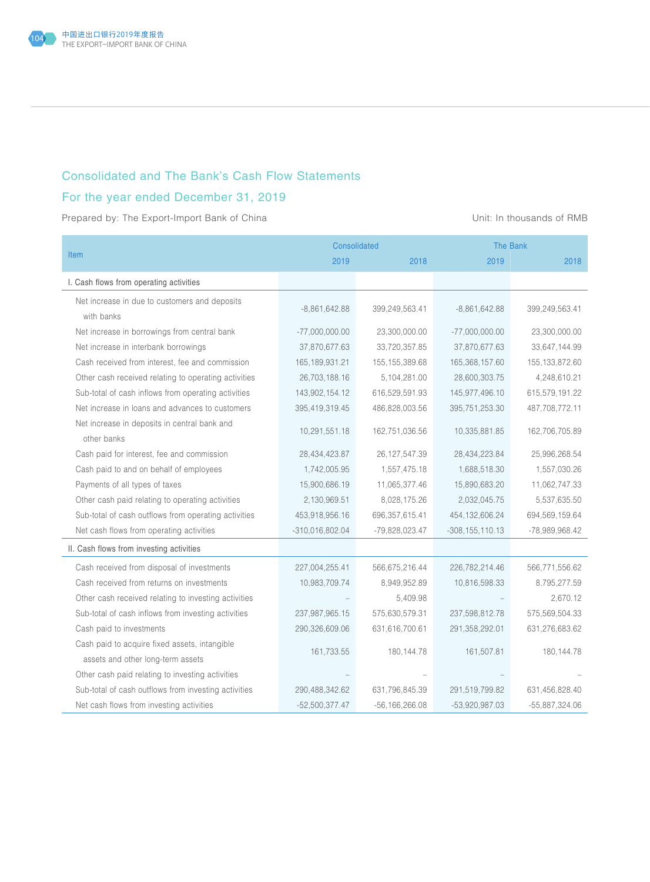

### Consolidated and The Bank's Cash Flow Statements

## For the year ended December 31, 2019

Prepared by: The Export-Import Bank of China View China Unit: In thousands of RMB

|                                                             | Consolidated<br><b>The Bank</b> |                    |                     |                  |
|-------------------------------------------------------------|---------------------------------|--------------------|---------------------|------------------|
| <b>Item</b>                                                 | 2019                            | 2018               | 2019                | 2018             |
| I. Cash flows from operating activities                     |                                 |                    |                     |                  |
| Net increase in due to customers and deposits<br>with banks | $-8,861,642.88$                 | 399,249,563.41     | $-8,861,642.88$     | 399,249,563.41   |
| Net increase in borrowings from central bank                | $-77,000,000.00$                | 23,300,000.00      | $-77,000,000.00$    | 23,300,000.00    |
| Net increase in interbank borrowings                        | 37,870,677.63                   | 33,720,357.85      | 37,870,677.63       | 33,647,144.99    |
| Cash received from interest, fee and commission             | 165, 189, 931. 21               | 155, 155, 389.68   | 165,368,157.60      | 155, 133, 872.60 |
| Other cash received relating to operating activities        | 26,703,188.16                   | 5,104,281.00       | 28,600,303.75       | 4,248,610.21     |
| Sub-total of cash inflows from operating activities         | 143,902,154.12                  | 616,529,591.93     | 145,977,496.10      | 615,579,191.22   |
| Net increase in loans and advances to customers             | 395,419,319.45                  | 486,828,003.56     | 395,751,253.30      | 487,708,772.11   |
| Net increase in deposits in central bank and<br>other banks | 10,291,551.18                   | 162,751,036.56     | 10,335,881.85       | 162,706,705.89   |
| Cash paid for interest, fee and commission                  | 28,434,423.87                   | 26, 127, 547.39    | 28,434,223.84       | 25,996,268.54    |
| Cash paid to and on behalf of employees                     | 1,742,005.95                    | 1,557,475.18       | 1,688,518.30        | 1,557,030.26     |
| Payments of all types of taxes                              | 15,900,686.19                   | 11,065,377.46      | 15,890,683.20       | 11,062,747.33    |
| Other cash paid relating to operating activities            | 2,130,969.51                    | 8,028,175.26       | 2,032,045.75        | 5,537,635.50     |
| Sub-total of cash outflows from operating activities        | 453,918,956.16                  | 696, 357, 615.41   | 454, 132, 606.24    | 694,569,159.64   |
| Net cash flows from operating activities                    | $-310,016,802.04$               | -79,828,023.47     | $-308, 155, 110.13$ | -78,989,968.42   |
| II. Cash flows from investing activities                    |                                 |                    |                     |                  |
| Cash received from disposal of investments                  | 227,004,255.41                  | 566,675,216.44     | 226,782,214.46      | 566,771,556.62   |
| Cash received from returns on investments                   | 10,983,709.74                   | 8,949,952.89       | 10,816,598.33       | 8,795,277.59     |
| Other cash received relating to investing activities        |                                 | 5,409.98           |                     | 2,670.12         |
| Sub-total of cash inflows from investing activities         | 237,987,965.15                  | 575,630,579.31     | 237,598,812.78      | 575,569,504.33   |
| Cash paid to investments                                    | 290,326,609.06                  | 631,616,700.61     | 291,358,292.01      | 631,276,683.62   |
| Cash paid to acquire fixed assets, intangible               |                                 |                    |                     |                  |
| assets and other long-term assets                           | 161,733.55                      | 180, 144. 78       | 161,507.81          | 180, 144. 78     |
| Other cash paid relating to investing activities            |                                 |                    |                     |                  |
| Sub-total of cash outflows from investing activities        | 290,488,342.62                  | 631,796,845.39     | 291,519,799.82      | 631,456,828.40   |
| Net cash flows from investing activities                    | $-52,500,377.47$                | $-56, 166, 266.08$ | $-53,920,987.03$    | $-55,887,324.06$ |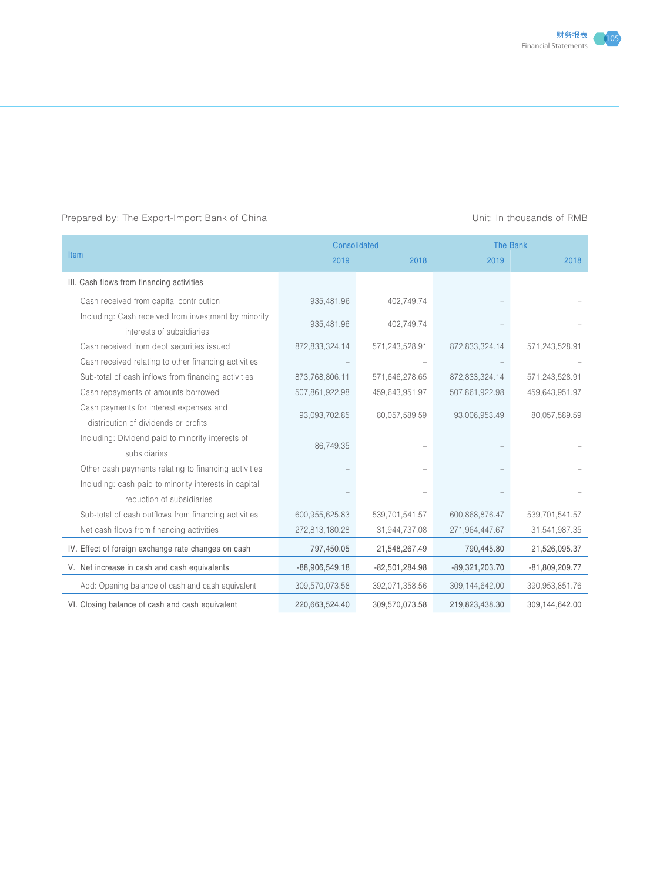#### Prepared by: The Export-Import Bank of China Unit: In thousands of RMB

|                                                                                   |                  | <b>Consolidated</b><br><b>The Bank</b> |                  |                  |
|-----------------------------------------------------------------------------------|------------------|----------------------------------------|------------------|------------------|
| Item                                                                              | 2019             | 2018                                   | 2019             | 2018             |
| III. Cash flows from financing activities                                         |                  |                                        |                  |                  |
| Cash received from capital contribution                                           | 935,481.96       | 402,749.74                             |                  |                  |
| Including: Cash received from investment by minority<br>interests of subsidiaries | 935,481.96       | 402,749.74                             |                  |                  |
| Cash received from debt securities issued                                         | 872,833,324.14   | 571,243,528.91                         | 872,833,324.14   | 571,243,528.91   |
| Cash received relating to other financing activities                              |                  |                                        |                  |                  |
| Sub-total of cash inflows from financing activities                               | 873,768,806.11   | 571,646,278.65                         | 872,833,324.14   | 571,243,528.91   |
| Cash repayments of amounts borrowed                                               | 507,861,922.98   | 459,643,951.97                         | 507,861,922.98   | 459,643,951.97   |
| Cash payments for interest expenses and                                           | 93,093,702.85    | 80,057,589.59                          | 93,006,953.49    | 80,057,589.59    |
| distribution of dividends or profits                                              |                  |                                        |                  |                  |
| Including: Dividend paid to minority interests of                                 | 86,749.35        |                                        |                  |                  |
| subsidiaries                                                                      |                  |                                        |                  |                  |
| Other cash payments relating to financing activities                              |                  |                                        |                  |                  |
| Including: cash paid to minority interests in capital                             |                  |                                        |                  |                  |
| reduction of subsidiaries                                                         |                  |                                        |                  |                  |
| Sub-total of cash outflows from financing activities                              | 600,955,625.83   | 539,701,541.57                         | 600,868,876.47   | 539,701,541.57   |
| Net cash flows from financing activities                                          | 272,813,180.28   | 31,944,737.08                          | 271,964,447.67   | 31,541,987.35    |
| IV. Effect of foreign exchange rate changes on cash                               | 797,450.05       | 21,548,267.49                          | 790,445.80       | 21,526,095.37    |
| V. Net increase in cash and cash equivalents                                      | $-88,906,549.18$ | $-82,501,284.98$                       | $-89,321,203.70$ | $-81,809,209.77$ |
| Add: Opening balance of cash and cash equivalent                                  | 309,570,073.58   | 392,071,358.56                         | 309,144,642.00   | 390,953,851.76   |
| VI. Closing balance of cash and cash equivalent                                   | 220,663,524.40   | 309,570,073.58                         | 219,823,438.30   | 309,144,642.00   |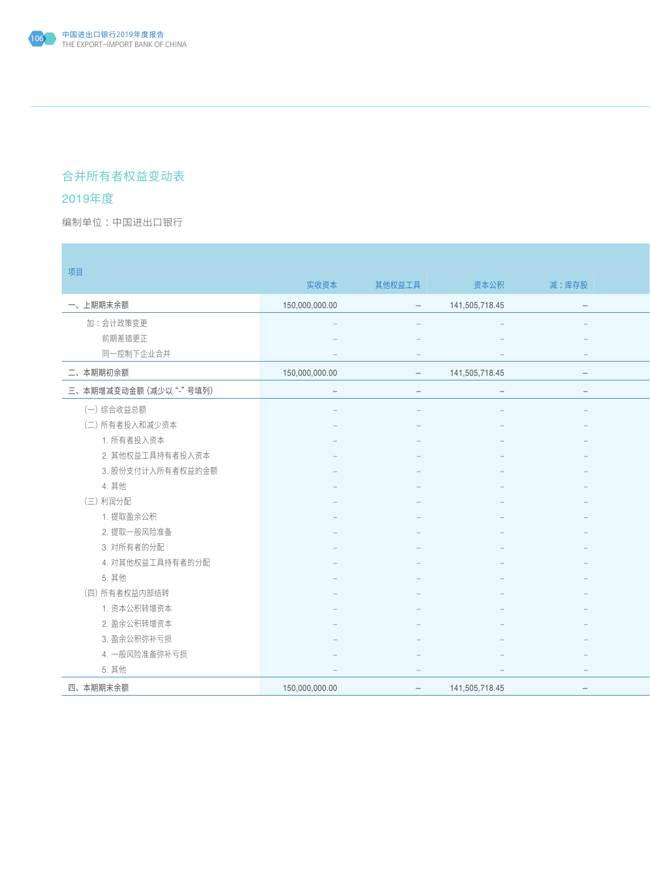## 合并所有者权益变动表

## 2019年度

编制单位:中国进出口银行 : All and the second second in the second second second in the second second second in the second second second second second second second second second second second second second second second second secon

| 项目                     |                                 |                                   |                                 |                                 |  |
|------------------------|---------------------------------|-----------------------------------|---------------------------------|---------------------------------|--|
|                        | 实收资本                            | 其他权益工具                            | 资本公积                            | 减:库存股                           |  |
| 一、上期期末余额               | 150,000,000.00                  | $\hspace{0.1mm}$ $\hspace{0.1mm}$ | 141,505,718.45                  | $\hspace{0.1mm}-\hspace{0.1mm}$ |  |
| 加:会计政策变更               |                                 |                                   |                                 |                                 |  |
| 前期差错更正                 |                                 |                                   |                                 |                                 |  |
| 同一控制下企业合并              |                                 |                                   |                                 | $\hspace{0.1mm}$                |  |
| 二、本期期初余额               | 150,000,000.00                  | $\overline{\phantom{0}}$          | 141,505,718.45                  | $-$                             |  |
| 三、本期增减变动金额 (减少以"-"号填列) | $\hspace{0.1mm}-\hspace{0.1mm}$ | $\overline{\phantom{m}}$          | $\hspace{0.1mm}-\hspace{0.1mm}$ | $\hspace{0.1mm}-\hspace{0.1mm}$ |  |
| (一)综合收益总额              |                                 |                                   |                                 |                                 |  |
| (二) 所有者投入和减少资本         |                                 |                                   |                                 |                                 |  |
| 1. 所有者投入资本             |                                 |                                   |                                 |                                 |  |
| 2. 其他权益工具持有者投入资本       |                                 |                                   |                                 |                                 |  |
| 3. 股份支付计入所有者权益的金额      |                                 |                                   |                                 |                                 |  |
| 4. 其他                  |                                 |                                   |                                 |                                 |  |
| (三)利润分配                |                                 |                                   |                                 |                                 |  |
| 1. 提取盈余公积              |                                 |                                   |                                 |                                 |  |
| 2. 提取一般风险准备            |                                 |                                   |                                 |                                 |  |
| 3. 对所有者的分配             |                                 |                                   |                                 |                                 |  |
| 4. 对其他权益工具持有者的分配       |                                 |                                   |                                 |                                 |  |
| 5. 其他                  |                                 |                                   |                                 |                                 |  |
| (四) 所有者权益内部结转          |                                 |                                   |                                 |                                 |  |
| 1. 资本公积转增资本            |                                 |                                   |                                 |                                 |  |
| 2. 盈余公积转增资本            |                                 |                                   |                                 |                                 |  |
| 3. 盈余公积弥补亏损            |                                 |                                   |                                 |                                 |  |
| 4. 一般风险准备弥补亏损          |                                 |                                   |                                 |                                 |  |
| 5. 其他                  |                                 |                                   |                                 | $\hspace{0.1mm}-\hspace{0.1mm}$ |  |
| 四、本期期末余额               | 150,000,000.00                  | $ \,$                             | 141,505,718.45                  | $\qquad \qquad -$               |  |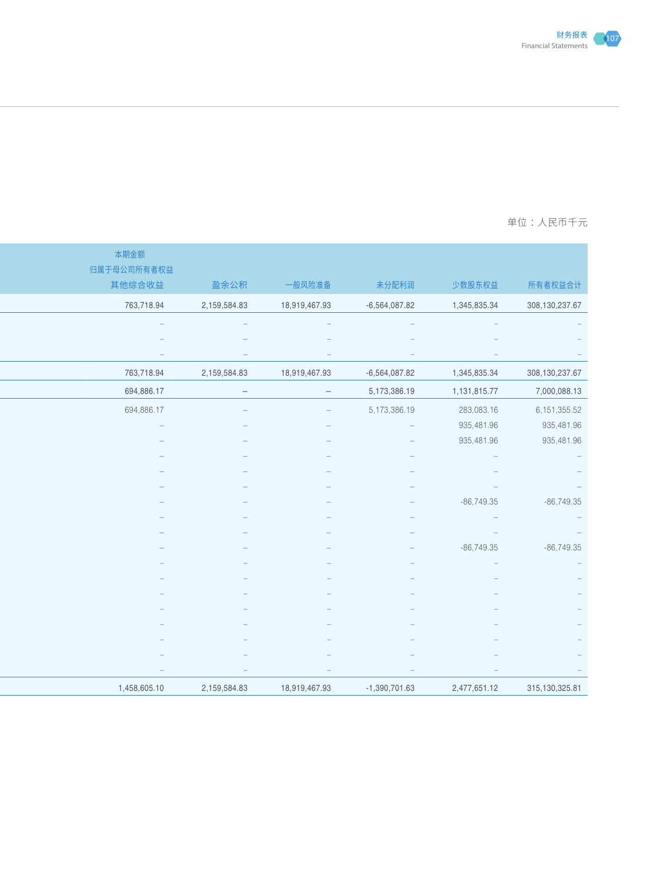

### 一个国土的第一个国土的第一个国土的第一个国土的第一个国土的第一个国土的第一个国土的<mark>单位:人民币十</mark>元

|                                                 |                                                 |                                 |                                 |                                 | 本期金额                     |
|-------------------------------------------------|-------------------------------------------------|---------------------------------|---------------------------------|---------------------------------|--------------------------|
|                                                 |                                                 |                                 |                                 |                                 | 归属于母公司所有者权益              |
| 所有者权益合计                                         | 少数股东权益                                          | 未分配利润                           | 一般风险准备                          | 盈余公积                            | 其他综合收益                   |
| 308, 130, 237.67                                | 1,345,835.34                                    | $-6,564,087.82$                 | 18,919,467.93                   | 2,159,584.83                    | 763,718.94               |
|                                                 |                                                 |                                 |                                 |                                 |                          |
|                                                 |                                                 |                                 |                                 |                                 |                          |
|                                                 |                                                 |                                 |                                 |                                 |                          |
| 308, 130, 237.67                                | 1,345,835.34                                    | $-6,564,087.82$                 | 18,919,467.93                   | 2,159,584.83                    | 763,718.94               |
| 7,000,088.13                                    | 1,131,815.77                                    | 5,173,386.19                    | $\hspace{0.1mm}-\hspace{0.1mm}$ | $\hspace{0.1mm}-\hspace{0.1mm}$ | 694,886.17               |
| 6, 151, 355.52                                  | 283,083.16                                      | 5,173,386.19                    | $\hspace{0.1mm}-\hspace{0.1mm}$ |                                 | 694,886.17               |
| 935,481.96                                      | 935,481.96                                      | $\sim$                          | $\hspace{0.1mm}-\hspace{0.1mm}$ |                                 | $\overline{\phantom{m}}$ |
| 935,481.96                                      | 935,481.96                                      |                                 |                                 |                                 |                          |
|                                                 |                                                 |                                 |                                 |                                 |                          |
|                                                 |                                                 |                                 |                                 |                                 |                          |
| $\sim$                                          |                                                 |                                 |                                 |                                 |                          |
| $-86,749.35$<br>$\hspace{0.1mm}-\hspace{0.1mm}$ | $-86,749.35$<br>$\hspace{0.1mm}-\hspace{0.1mm}$ |                                 |                                 |                                 |                          |
| $\sim$                                          | $\hspace{0.1mm}-\hspace{0.1mm}$                 |                                 |                                 |                                 |                          |
| $-86,749.35$                                    | $-86,749.35$                                    |                                 |                                 |                                 |                          |
|                                                 |                                                 |                                 |                                 |                                 |                          |
|                                                 |                                                 |                                 |                                 |                                 |                          |
|                                                 |                                                 |                                 |                                 |                                 |                          |
|                                                 |                                                 |                                 |                                 |                                 |                          |
|                                                 |                                                 |                                 |                                 |                                 |                          |
|                                                 |                                                 |                                 |                                 |                                 |                          |
|                                                 |                                                 |                                 |                                 |                                 |                          |
|                                                 |                                                 | $\hspace{0.1mm}-\hspace{0.1mm}$ | $\hspace{0.1cm} -$              |                                 | $\equiv$                 |
| 315, 130, 325.81                                | 2,477,651.12                                    | $-1,390,701.63$                 | 18,919,467.93                   | 2,159,584.83                    | 1,458,605.10             |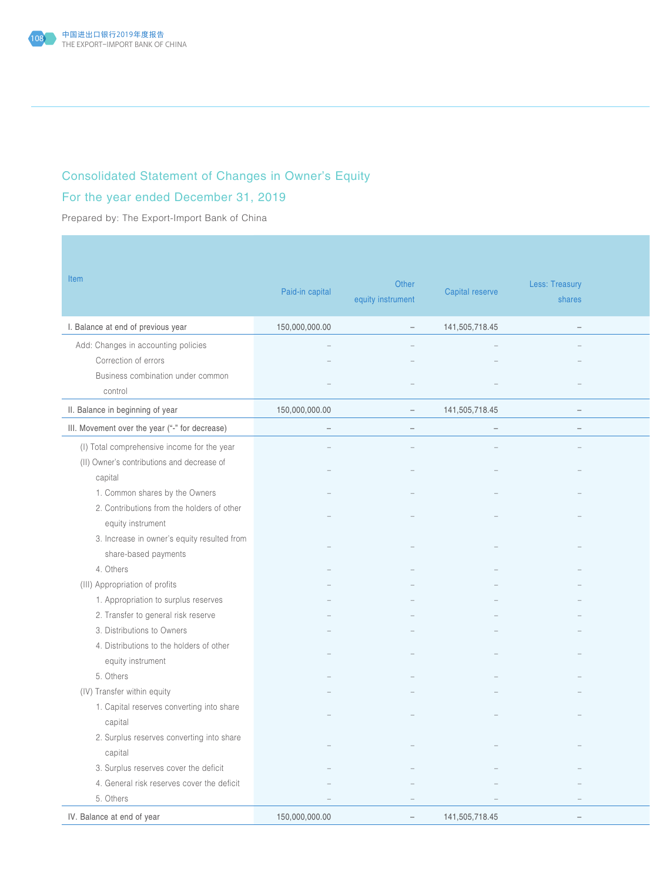

# Consolidated Statement of Changes in Owner's Equity

## For the year ended December 31, 2019

Prepared by: The Export-Import Bank of China

| Item                                           | Paid-in capital                 | Other<br>equity instrument | Capital reserve                 | Less: Treasury<br>shares        |
|------------------------------------------------|---------------------------------|----------------------------|---------------------------------|---------------------------------|
| I. Balance at end of previous year             | 150,000,000.00                  | $\sim$                     | 141,505,718.45                  | $\sim$                          |
| Add: Changes in accounting policies            |                                 |                            |                                 |                                 |
| Correction of errors                           |                                 |                            |                                 |                                 |
| Business combination under common              |                                 |                            |                                 |                                 |
| control                                        |                                 |                            |                                 |                                 |
| II. Balance in beginning of year               | 150,000,000.00                  | $\overline{\phantom{m}}$   | 141,505,718.45                  | $\overline{\phantom{m}}$        |
| III. Movement over the year ("-" for decrease) | $\hspace{0.1mm}-\hspace{0.1mm}$ | $ \,$                      | $\hspace{0.1mm}-\hspace{0.1mm}$ | $\hspace{0.1mm}-\hspace{0.1mm}$ |
| (I) Total comprehensive income for the year    |                                 |                            |                                 |                                 |
| (II) Owner's contributions and decrease of     |                                 |                            |                                 |                                 |
| capital                                        |                                 |                            |                                 |                                 |
| 1. Common shares by the Owners                 |                                 |                            |                                 |                                 |
| 2. Contributions from the holders of other     |                                 |                            |                                 |                                 |
| equity instrument                              |                                 |                            |                                 |                                 |
| 3. Increase in owner's equity resulted from    |                                 |                            |                                 |                                 |
| share-based payments                           |                                 |                            |                                 |                                 |
| 4. Others                                      |                                 |                            |                                 |                                 |
| (III) Appropriation of profits                 |                                 |                            |                                 |                                 |
| 1. Appropriation to surplus reserves           |                                 |                            |                                 |                                 |
| 2. Transfer to general risk reserve            |                                 |                            |                                 |                                 |
| 3. Distributions to Owners                     |                                 |                            |                                 |                                 |
| 4. Distributions to the holders of other       |                                 |                            |                                 |                                 |
| equity instrument                              |                                 |                            |                                 |                                 |
| 5. Others                                      |                                 |                            |                                 |                                 |
| (IV) Transfer within equity                    |                                 |                            |                                 |                                 |
| 1. Capital reserves converting into share      |                                 |                            |                                 |                                 |
| capital                                        |                                 |                            |                                 |                                 |
| 2. Surplus reserves converting into share      |                                 |                            |                                 |                                 |
| capital                                        | $\equiv$                        | $\overline{\phantom{m}}$   |                                 | $\equiv$                        |
| 3. Surplus reserves cover the deficit          |                                 |                            |                                 |                                 |
| 4. General risk reserves cover the deficit     |                                 |                            |                                 |                                 |
| 5. Others                                      | $\overline{\phantom{m}}$        |                            |                                 | $\hspace{0.1mm}-\hspace{0.1mm}$ |
| IV. Balance at end of year                     | 150,000,000.00                  | $ \,$                      | 141,505,718.45                  | $ \,$                           |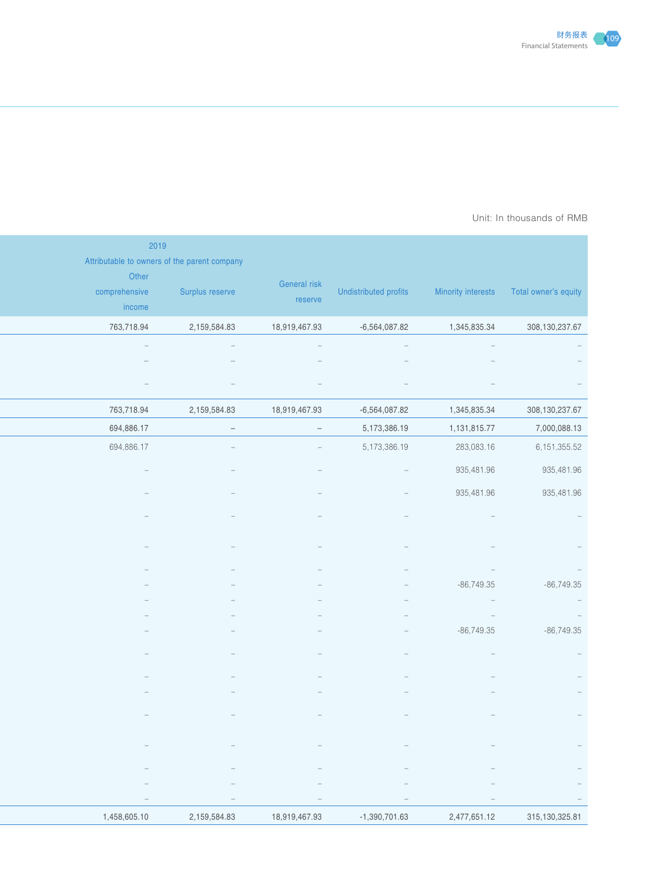

#### Prepared by: The Export-Importance Bank of AMB Unit: In thousands of RMB  $\,$

|                |                                                             |                          |                                 |                                 | 2019                                                                             |
|----------------|-------------------------------------------------------------|--------------------------|---------------------------------|---------------------------------|----------------------------------------------------------------------------------|
|                | Minority interests  Total owner's equity                    | Undistributed profits    | General risk<br>reserve         | Surplus reserve                 | Attributable to owners of the parent company<br>Other<br>comprehensive<br>income |
| 308,130,237.67 | 1,345,835.34                                                | $-6,564,087.82$          | 18,919,467.93                   | 2,159,584.83                    | 763,718.94                                                                       |
|                | $\hspace{0.1mm}$ $\hspace{0.1mm}$                           |                          | $\overline{\phantom{a}}$        | $\hspace{0.1mm}-\hspace{0.1mm}$ | $\alpha \rightarrow \beta \gamma$                                                |
|                |                                                             |                          |                                 |                                 |                                                                                  |
|                | $\overline{\phantom{a}}$                                    |                          | $\hspace{0.1mm}-\hspace{0.1mm}$ | $\hspace{0.1mm}-\hspace{0.1mm}$ | $\overline{\phantom{m}}$                                                         |
| 308,130,237.67 | 1,345,835.34                                                | $-6,564,087.82$          | 18,919,467.93                   | 2,159,584.83                    | 763,718.94                                                                       |
| 7,000,088.13   | 1,131,815.77                                                | 5,173,386.19             | $\sim$                          | $-$                             | 694,886.17                                                                       |
| 6, 151, 355.52 | 283,083.16                                                  | 5,173,386.19             | $\sim$                          |                                 | 694,886.17                                                                       |
| 935,481.96     | 935,481.96                                                  |                          |                                 |                                 |                                                                                  |
| 935,481.96     | 935,481.96                                                  |                          |                                 |                                 |                                                                                  |
|                |                                                             |                          |                                 |                                 |                                                                                  |
|                |                                                             |                          |                                 |                                 |                                                                                  |
|                |                                                             |                          |                                 |                                 |                                                                                  |
|                | $\hspace{0.1mm}-\hspace{0.1mm}$                             |                          |                                 |                                 |                                                                                  |
| $-86,749.35$   | $-86,749.35$<br>$\alpha \rightarrow \beta$                  |                          |                                 |                                 |                                                                                  |
|                | $\mathcal{L}=\mathcal{L}$                                   |                          |                                 |                                 |                                                                                  |
| $-86,749.35$   | $-86,749.35$                                                |                          |                                 |                                 |                                                                                  |
|                |                                                             |                          |                                 |                                 |                                                                                  |
|                |                                                             |                          |                                 |                                 |                                                                                  |
|                |                                                             |                          |                                 |                                 |                                                                                  |
|                |                                                             |                          |                                 |                                 |                                                                                  |
|                |                                                             |                          | $\hspace{0.1mm}$                | $\hspace{0.1mm}-\hspace{0.1mm}$ | $\overline{\phantom{a}}$                                                         |
|                |                                                             |                          |                                 |                                 |                                                                                  |
|                | $\hspace{0.1mm}-\hspace{0.1mm}$<br>$\overline{\phantom{a}}$ | $\overline{\phantom{a}}$ | $\hspace{0.1mm}-\hspace{0.1mm}$ | $\hspace{0.1mm}-\hspace{0.1mm}$ | $\overline{\phantom{m}}$<br>$\qquad \qquad -$                                    |
|                | $\sim$                                                      | $\sim$                   | $\hspace{0.1mm}-\hspace{0.1mm}$ | $\equiv$                        | $\sim$                                                                           |
| 315,130,325.81 | 2,477,651.12                                                | $-1,390,701.63$          | 18,919,467.93                   | 2,159,584.83                    | 1,458,605.10                                                                     |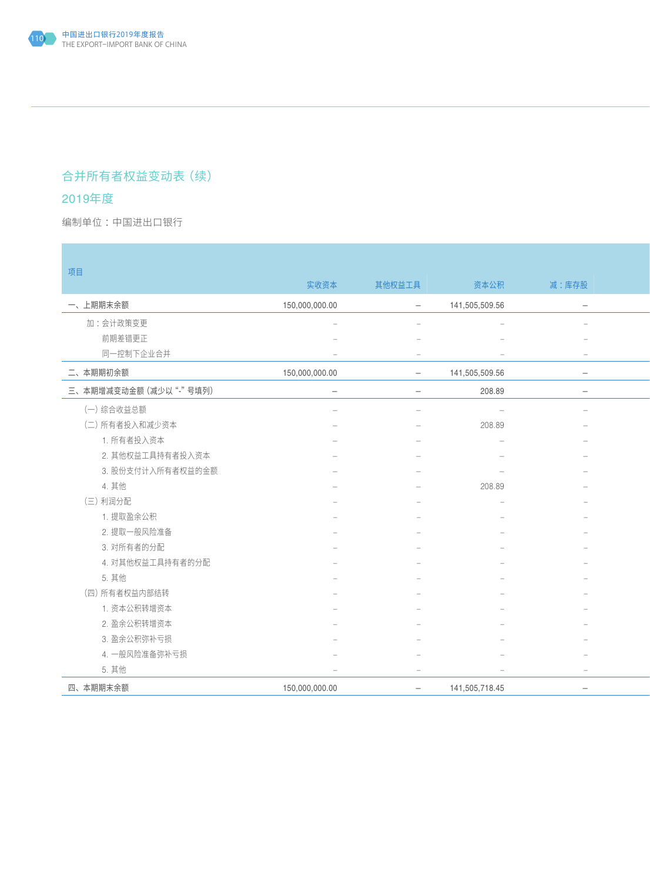## 合并所有者权益变动表(续)

## 2019年度

编制单位:中国进出口银行 : All and the second second in the second second second in the second second second in the second second second second second second second second second second second second second second second second secon

| 项目                     |                          |                          |                                 |                          |
|------------------------|--------------------------|--------------------------|---------------------------------|--------------------------|
|                        | 实收资本                     | 其他权益工具                   | 资本公积                            | 减:库存股                    |
| 一、上期期末余额               | 150,000,000.00           | $\overline{\phantom{m}}$ | 141,505,509.56                  | $\overline{\phantom{a}}$ |
| 加:会计政策变更               |                          |                          |                                 |                          |
| 前期差错更正                 |                          |                          |                                 |                          |
| 同一控制下企业合并              | $\overline{\phantom{0}}$ | $\sim$                   | $\hspace{0.1mm}-\hspace{0.1mm}$ | $\sim$                   |
| 二、本期期初余额               | 150,000,000.00           | $ \,$                    | 141,505,509.56                  | $-$                      |
| 三、本期增减变动金额 (减少以"-"号填列) | $\overline{\phantom{m}}$ | $\overline{\phantom{0}}$ | 208.89                          | $\sim$                   |
| (一)综合收益总额              |                          | $\overline{\phantom{0}}$ | $\hspace{0.1mm}-\hspace{0.1mm}$ | $\hspace{0.1mm}$         |
| (二) 所有者投入和减少资本         |                          |                          | 208.89                          |                          |
| 1. 所有者投入资本             |                          |                          |                                 |                          |
| 2. 其他权益工具持有者投入资本       |                          |                          |                                 |                          |
| 3. 股份支付计入所有者权益的金额      |                          |                          |                                 |                          |
| 4. 其他                  |                          |                          | 208.89                          |                          |
| (三) 利润分配               |                          |                          |                                 |                          |
| 1. 提取盈余公积              |                          |                          |                                 |                          |
| 2. 提取一般风险准备            |                          |                          |                                 |                          |
| 3. 对所有者的分配             |                          |                          |                                 |                          |
| 4. 对其他权益工具持有者的分配       |                          |                          |                                 |                          |
| 5. 其他                  |                          |                          |                                 |                          |
| (四) 所有者权益内部结转          |                          |                          |                                 |                          |
| 1. 资本公积转增资本            |                          |                          |                                 |                          |
| 2. 盈余公积转增资本            |                          |                          |                                 |                          |
| 3. 盈余公积弥补亏损            |                          |                          |                                 |                          |
| 4. 一般风险准备弥补亏损          |                          |                          |                                 |                          |
| 5. 其他                  |                          | $\overline{\phantom{m}}$ | $\hspace{0.1mm}-\hspace{0.1mm}$ | $\sim$                   |
| 四、本期期末余额               | 150,000,000.00           | $ \,$                    | 141,505,718.45                  | $\overline{\phantom{m}}$ |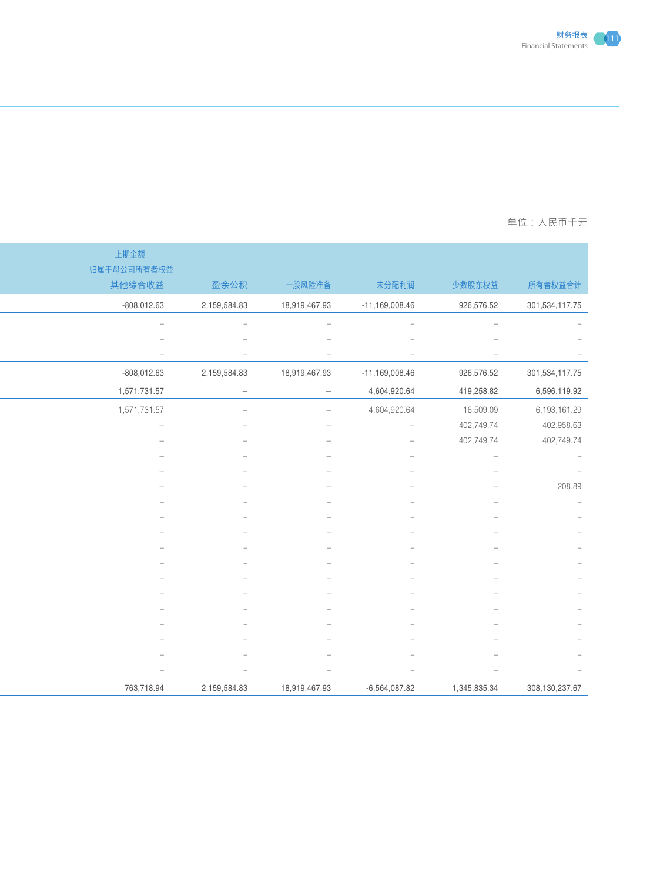

### 一个国土的第一个国土的第一个国土的第一个国土的第一个国土的第一个国土的第一个国土的<mark>单位:人民币十</mark>元

|                  |                          |                                 |                                 |                                 | 上期金额                            |
|------------------|--------------------------|---------------------------------|---------------------------------|---------------------------------|---------------------------------|
| 所有者权益合计          | 少数股东权益                   | 未分配利润                           | 一般风险准备                          | 盈余公积                            | 归属于母公司所有者权益<br>其他综合收益           |
| 301,534,117.75   | 926,576.52               | $-11,169,008.46$                | 18,919,467.93                   | 2,159,584.83                    | $-808,012.63$                   |
|                  | $-$                      | $\overline{\phantom{a}}$        | $\hspace{0.1mm}-\hspace{0.1mm}$ | $\hspace{0.1mm}-\hspace{0.1mm}$ | $\sim$                          |
|                  |                          |                                 |                                 |                                 |                                 |
|                  |                          | $\hspace{0.1mm}-\hspace{0.1mm}$ |                                 |                                 | $\hspace{0.1mm}-\hspace{0.1mm}$ |
| 301,534,117.75   | 926,576.52               | $-11,169,008.46$                | 18,919,467.93                   | 2,159,584.83                    | $-808,012.63$                   |
| 6,596,119.92     | 419,258.82               | 4,604,920.64                    | $\overline{\phantom{m}}$        | $\sim$                          | 1,571,731.57                    |
| 6,193,161.29     | 16,509.09                | 4,604,920.64                    | $\overline{\phantom{a}}$        |                                 | 1,571,731.57                    |
| 402,958.63       | 402,749.74               | $\sim$                          |                                 |                                 |                                 |
| 402,749.74       | 402,749.74               |                                 |                                 |                                 |                                 |
|                  | $\overline{\phantom{m}}$ |                                 |                                 |                                 |                                 |
|                  |                          |                                 |                                 |                                 |                                 |
| 208.89           |                          |                                 |                                 |                                 |                                 |
|                  |                          |                                 |                                 |                                 |                                 |
|                  |                          |                                 |                                 |                                 |                                 |
|                  |                          |                                 |                                 |                                 |                                 |
|                  |                          |                                 |                                 |                                 |                                 |
|                  |                          |                                 |                                 |                                 |                                 |
|                  |                          |                                 |                                 |                                 |                                 |
|                  |                          |                                 |                                 |                                 |                                 |
|                  |                          |                                 |                                 |                                 |                                 |
|                  |                          |                                 |                                 |                                 |                                 |
|                  |                          | $\overline{\phantom{a}}$        | $\hspace{0.1mm}-\hspace{0.1mm}$ | $\overline{\phantom{a}}$        | $\overline{\phantom{a}}$        |
|                  |                          |                                 |                                 |                                 |                                 |
| 308, 130, 237.67 | 1,345,835.34             | $-6,564,087.82$                 | 18,919,467.93                   | 2,159,584.83                    | 763,718.94                      |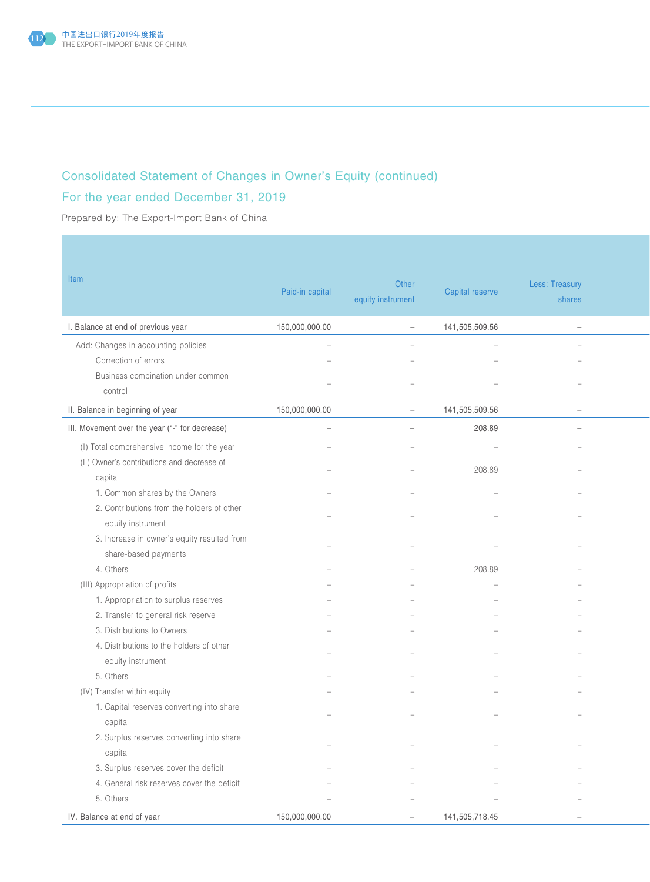

# Consolidated Statement of Changes in Owner's Equity (continued)

## For the year ended December 31, 2019

Prepared by: The Export-Import Bank of China

| Item                                           | Paid-in capital          | Other<br>equity instrument | Capital reserve | Less: Treasury<br>shares |  |
|------------------------------------------------|--------------------------|----------------------------|-----------------|--------------------------|--|
| I. Balance at end of previous year             | 150,000,000.00           | $\overline{\phantom{a}}$   | 141,505,509.56  | $\overline{\phantom{a}}$ |  |
| Add: Changes in accounting policies            |                          |                            |                 |                          |  |
| Correction of errors                           |                          |                            |                 |                          |  |
| Business combination under common              |                          |                            |                 |                          |  |
| control                                        |                          |                            |                 |                          |  |
| II. Balance in beginning of year               | 150,000,000.00           | $\overline{\phantom{m}}$   | 141,505,509.56  | $ \,$                    |  |
| III. Movement over the year ("-" for decrease) | $\overline{\phantom{a}}$ | $\overline{\phantom{a}}$   | 208.89          | $\overline{\phantom{a}}$ |  |
| (I) Total comprehensive income for the year    |                          |                            |                 |                          |  |
| (II) Owner's contributions and decrease of     |                          |                            |                 |                          |  |
| capital                                        |                          |                            | 208.89          |                          |  |
| 1. Common shares by the Owners                 |                          |                            |                 |                          |  |
| 2. Contributions from the holders of other     |                          |                            |                 |                          |  |
| equity instrument                              |                          |                            |                 |                          |  |
| 3. Increase in owner's equity resulted from    |                          |                            |                 |                          |  |
| share-based payments                           |                          |                            |                 |                          |  |
| 4. Others                                      |                          |                            | 208.89          |                          |  |
| (III) Appropriation of profits                 |                          |                            |                 |                          |  |
| 1. Appropriation to surplus reserves           |                          |                            |                 |                          |  |
| 2. Transfer to general risk reserve            |                          |                            |                 |                          |  |
| 3. Distributions to Owners                     |                          |                            |                 |                          |  |
| 4. Distributions to the holders of other       |                          |                            |                 |                          |  |
| equity instrument                              |                          |                            |                 |                          |  |
| 5. Others                                      |                          |                            |                 |                          |  |
| (IV) Transfer within equity                    |                          |                            |                 |                          |  |
| 1. Capital reserves converting into share      |                          |                            |                 |                          |  |
| capital                                        |                          |                            |                 |                          |  |
| 2. Surplus reserves converting into share      | $\overline{\phantom{a}}$ | $\overline{\phantom{a}}$   |                 | $\sim$                   |  |
| capital                                        |                          |                            |                 |                          |  |
| 3. Surplus reserves cover the deficit          |                          |                            |                 |                          |  |
| 4. General risk reserves cover the deficit     |                          |                            |                 |                          |  |
| 5. Others                                      | $\overline{\phantom{a}}$ | $\overline{\phantom{a}}$   |                 | $\overline{\phantom{a}}$ |  |
|                                                |                          |                            | 141,505,718.45  |                          |  |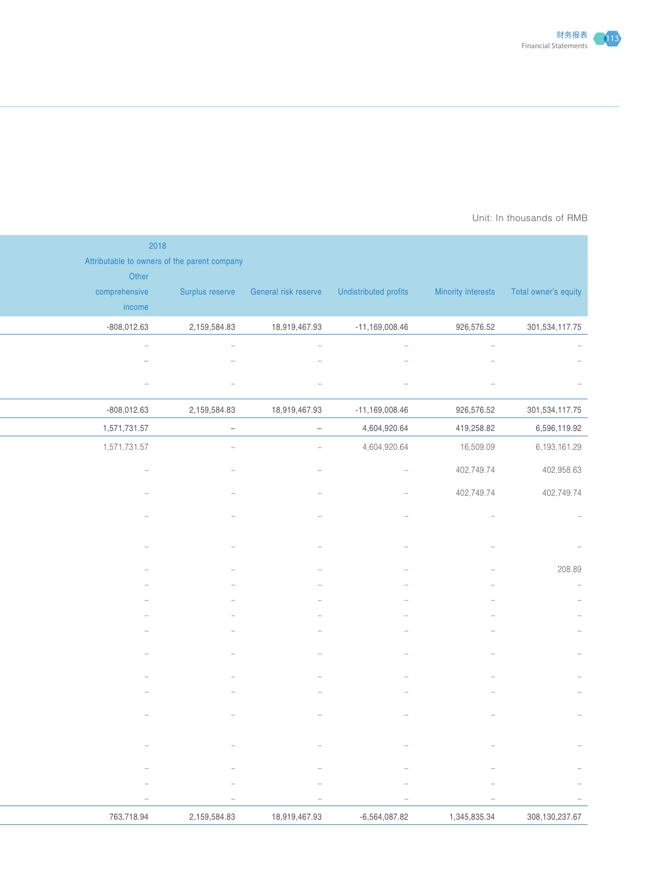

#### Prepared by: The Export-Importance Bank of AMB Unit: In thousands of RMB  $\,$

|                                                             |                                 |                                 |                                                            |                                                                              | 2018                                                  |
|-------------------------------------------------------------|---------------------------------|---------------------------------|------------------------------------------------------------|------------------------------------------------------------------------------|-------------------------------------------------------|
|                                                             |                                 |                                 |                                                            |                                                                              | Attributable to owners of the parent company<br>Other |
| Minority interests  Total owner's equity                    |                                 |                                 | Surplus reserve General risk reserve Undistributed profits |                                                                              | comprehensive                                         |
|                                                             |                                 |                                 |                                                            | 2,159,584.83                                                                 | income                                                |
| 301,534,117.75                                              | 926,576.52                      | $-11,169,008.46$                | 18,919,467.93                                              |                                                                              | $-808,012.63$<br>$\overline{\phantom{a}}$             |
| $\hspace{0.1mm}-\hspace{0.1mm}$<br>$\overline{\phantom{m}}$ |                                 |                                 |                                                            |                                                                              |                                                       |
|                                                             |                                 |                                 | $\overline{\phantom{m}}$                                   | $\overline{\phantom{a}}$                                                     | $\qquad \qquad -$                                     |
| 301,534,117.75                                              | 926,576.52                      | $-11,169,008.46$                | 18,919,467.93                                              | 2,159,584.83                                                                 | $-808,012.63$                                         |
| 6,596,119.92                                                | 419,258.82                      | 4,604,920.64                    | $\sim$                                                     | $\sim$                                                                       | 1,571,731.57                                          |
| 6,193,161.29                                                | 16,509.09                       | 4,604,920.64                    | $\sim$                                                     | $\overline{\phantom{m}}$                                                     | 1,571,731.57                                          |
| 402,958.63                                                  | 402,749.74                      | $\overline{\phantom{a}}$        |                                                            |                                                                              |                                                       |
| 402,749.74                                                  | 402,749.74                      |                                 |                                                            |                                                                              |                                                       |
|                                                             |                                 |                                 |                                                            |                                                                              |                                                       |
|                                                             |                                 |                                 |                                                            |                                                                              |                                                       |
| 208.89                                                      |                                 |                                 |                                                            |                                                                              |                                                       |
| $\hspace{0.1mm}-\hspace{0.1mm}$                             |                                 |                                 |                                                            |                                                                              |                                                       |
| $\sim$                                                      |                                 |                                 |                                                            |                                                                              |                                                       |
|                                                             |                                 |                                 |                                                            |                                                                              |                                                       |
| $\sim$                                                      |                                 |                                 |                                                            |                                                                              |                                                       |
| $\qquad \qquad -$                                           |                                 |                                 |                                                            |                                                                              |                                                       |
| $\overline{\phantom{a}}$                                    |                                 |                                 |                                                            |                                                                              |                                                       |
|                                                             |                                 |                                 |                                                            |                                                                              |                                                       |
| $\sim$                                                      |                                 |                                 |                                                            |                                                                              |                                                       |
|                                                             |                                 |                                 |                                                            |                                                                              |                                                       |
|                                                             |                                 |                                 |                                                            |                                                                              |                                                       |
|                                                             | $\hspace{0.1mm}-\hspace{0.1mm}$ | $\hspace{0.1mm}-\hspace{0.1mm}$ | $\hspace{0.1mm}-\hspace{0.1mm}$                            | $\hspace{0.1in} \hspace{0.1in} \hspace{0.1in} \hspace{0.1in} \hspace{0.1in}$ | $\overline{\phantom{a}}$                              |
|                                                             | $\hspace{0.1mm}-\hspace{0.1mm}$ | $\sim$                          | $\sim$                                                     | $\overline{\phantom{m}}$                                                     | $\hspace{0.1mm}-\hspace{0.1mm}$                       |
| 308,130,237.67                                              | 1,345,835.34                    | $-6,564,087.82$                 | 18,919,467.93                                              | 2,159,584.83                                                                 | 763,718.94                                            |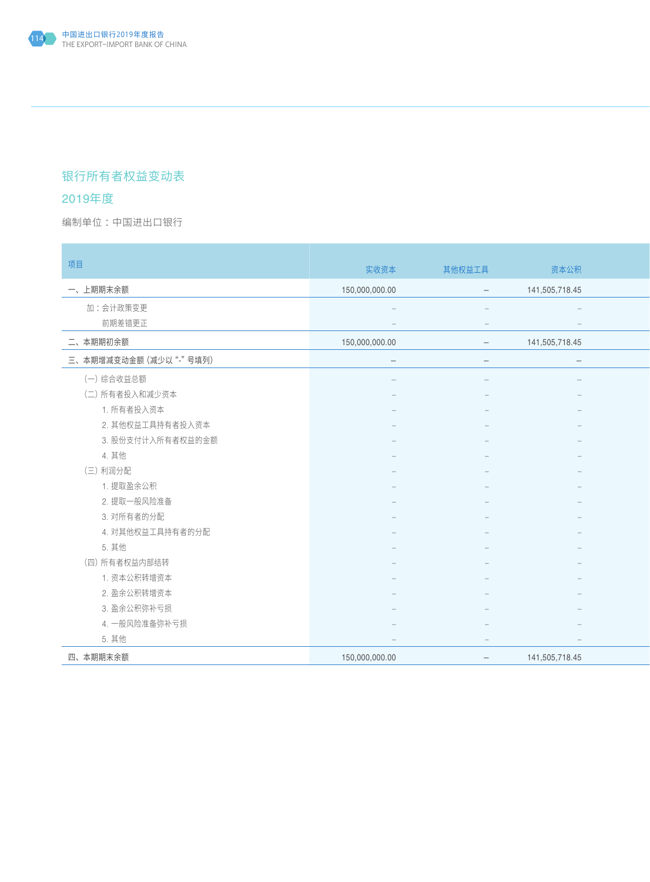## 银行所有者权益变动表

### 2019年度

×

编制单位:中国进出口银行 : All and the second second in the second second second in the second second second in the second second second second second second second second second second second second second second second second secon

| 项目                        | 实收资本                     | 其他权益工具                          | 资本公积                            |
|---------------------------|--------------------------|---------------------------------|---------------------------------|
| 一、上期期末余额                  | 150,000,000.00           | $\overline{\phantom{a}}$        | 141,505,718.45                  |
| 加:会计政策变更                  |                          |                                 |                                 |
| 前期差错更正                    |                          | $\hspace{0.1mm}-\hspace{0.1mm}$ | $\hspace{0.1mm}-\hspace{0.1mm}$ |
| 二、本期期初余额                  | 150,000,000.00           | $\equiv$                        | 141,505,718.45                  |
| 三、本期增减变动金额 (减少以"-"号填列)    | $\overline{\phantom{0}}$ |                                 | $\overline{\phantom{m}}$        |
| (一) 综合收益总额                |                          |                                 |                                 |
| (二) 所有者投入和减少资本            |                          |                                 |                                 |
| 1. 所有者投入资本                |                          |                                 |                                 |
| 2. 其他权益工具持有者投入资本          |                          |                                 |                                 |
| 3. 股份支付计入所有者权益的金额         |                          |                                 |                                 |
| 4. 其他                     |                          |                                 |                                 |
| (三) 利润分配                  |                          |                                 |                                 |
| 1. 提取盈余公积                 |                          |                                 |                                 |
| 2. 提取一般风险准备               |                          |                                 |                                 |
| 3. 对所有者的分配                |                          |                                 |                                 |
| 4. 对其他权益工具持有者的分配<br>5. 其他 |                          |                                 |                                 |
| (四) 所有者权益内部结转             |                          |                                 |                                 |
| 1. 资本公积转增资本               |                          |                                 |                                 |
| 2. 盈余公积转增资本               |                          |                                 |                                 |
| 3. 盈余公积弥补亏损               |                          |                                 |                                 |
| 4. 一般风险准备弥补亏损             |                          |                                 |                                 |
| 5. 其他                     |                          | $\overline{\phantom{0}}$        | $\overline{\phantom{a}}$        |
| 四、本期期末余额                  | 150,000,000.00           | $ \,$                           | 141,505,718.45                  |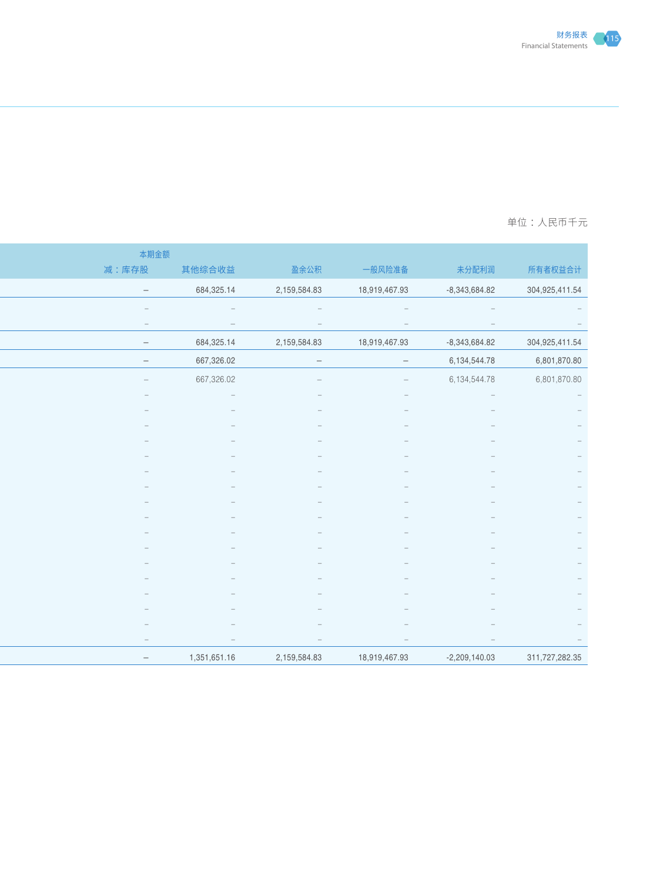

### 一个国土的第一个国土的第一个国土的第一个国土的第一个国土的第一个国土的第一个国土的<mark>单位:人民币十</mark>元

| 本期金额                            |                          |                                 |                                 |                                 |                                                |
|---------------------------------|--------------------------|---------------------------------|---------------------------------|---------------------------------|------------------------------------------------|
| 减:库存股                           | 其他综合收益                   | 盈余公积                            | 一般风险准备                          | 未分配利润                           | 所有者权益合计                                        |
| $\sim$                          | 684,325.14               | 2,159,584.83                    | 18,919,467.93                   | $-8,343,684.82$                 | 304,925,411.54                                 |
| $\overline{\phantom{m}}$        |                          |                                 |                                 | $\hspace{0.1mm}-\hspace{0.1mm}$ | $\hspace{0.1mm}-\hspace{0.1mm}$                |
| $\hspace{0.1mm}-\hspace{0.1mm}$ | $\overline{\phantom{m}}$ | $\hspace{0.1mm}-\hspace{0.1mm}$ |                                 | $\hspace{0.1mm}-\hspace{0.1mm}$ | $\hspace{0.1cm} -$                             |
| $\sim$                          | 684,325.14               | 2,159,584.83                    | 18,919,467.93                   | $-8,343,684.82$                 | 304,925,411.54                                 |
| $\sim$                          | 667,326.02               | $\overline{\phantom{0}}$        | $\sim$                          | 6,134,544.78                    | 6,801,870.80                                   |
| $\sim$                          | 667,326.02               | $\overline{\phantom{a}}$        | $\hspace{0.1mm}-\hspace{0.1mm}$ | 6,134,544.78                    | 6,801,870.80                                   |
| $\overline{\phantom{a}}$        |                          |                                 |                                 | $\hspace{0.1mm}-\hspace{0.1mm}$ | $\alpha = 1$                                   |
|                                 |                          |                                 |                                 |                                 | $\hspace{0.1mm}-\hspace{0.1mm}$                |
|                                 |                          |                                 |                                 |                                 | $\hspace{0.1cm} -$<br>$\overline{\phantom{a}}$ |
|                                 |                          |                                 |                                 |                                 |                                                |
|                                 |                          |                                 |                                 |                                 |                                                |
|                                 |                          |                                 |                                 |                                 |                                                |
|                                 |                          |                                 |                                 |                                 |                                                |
|                                 |                          |                                 |                                 |                                 |                                                |
|                                 |                          |                                 |                                 |                                 |                                                |
|                                 |                          |                                 |                                 |                                 |                                                |
|                                 |                          |                                 |                                 |                                 |                                                |
|                                 |                          |                                 |                                 |                                 |                                                |
|                                 |                          |                                 |                                 |                                 |                                                |
|                                 |                          |                                 |                                 |                                 |                                                |
| $-$                             | $\overline{\phantom{m}}$ | $\hspace{0.1mm}-\hspace{0.1mm}$ | $\hspace{0.1mm}-\hspace{0.1mm}$ | $\hspace{0.1mm}-\hspace{0.1mm}$ |                                                |
| $\sim$                          | 1,351,651.16             | 2,159,584.83                    | 18,919,467.93                   | $-2,209,140.03$                 | 311,727,282.35                                 |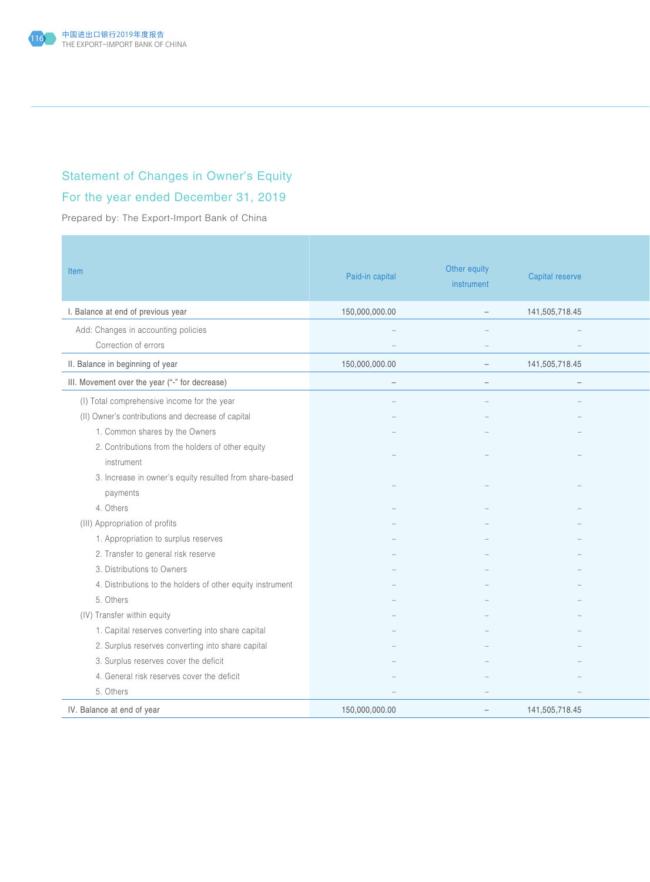

## Statement of Changes in Owner's Equity

## For the year ended December 31, 2019

Prepared by: The Export-Import Bank of China

| Item                                                       | Paid-in capital          | Other equity<br>instrument      | Capital reserve                 |
|------------------------------------------------------------|--------------------------|---------------------------------|---------------------------------|
| I. Balance at end of previous year                         | 150,000,000.00           | $\overline{\phantom{a}}$        | 141,505,718.45                  |
| Add: Changes in accounting policies                        | $\sim$                   | $\sim$                          | $\equiv$                        |
| Correction of errors                                       |                          | $\overline{\phantom{a}}$        | $\hspace{0.1mm}-\hspace{0.1mm}$ |
| II. Balance in beginning of year                           | 150,000,000.00           | $\sim$                          | 141,505,718.45                  |
| III. Movement over the year ("-" for decrease)             | $\overline{\phantom{m}}$ | $\hspace{0.1mm}-\hspace{0.1mm}$ | $\overline{\phantom{a}}$        |
| (I) Total comprehensive income for the year                |                          |                                 |                                 |
| (II) Owner's contributions and decrease of capital         |                          |                                 |                                 |
| 1. Common shares by the Owners                             |                          |                                 |                                 |
| 2. Contributions from the holders of other equity          |                          |                                 |                                 |
| instrument                                                 |                          |                                 |                                 |
| 3. Increase in owner's equity resulted from share-based    |                          |                                 |                                 |
| payments                                                   |                          |                                 |                                 |
| 4. Others                                                  |                          |                                 |                                 |
| (III) Appropriation of profits                             |                          |                                 |                                 |
| 1. Appropriation to surplus reserves                       |                          |                                 |                                 |
| 2. Transfer to general risk reserve                        |                          |                                 |                                 |
| 3. Distributions to Owners                                 |                          |                                 |                                 |
| 4. Distributions to the holders of other equity instrument |                          |                                 |                                 |
| 5. Others                                                  |                          |                                 |                                 |
| (IV) Transfer within equity                                |                          |                                 |                                 |
| 1. Capital reserves converting into share capital          |                          |                                 |                                 |
| 2. Surplus reserves converting into share capital          |                          |                                 |                                 |
| 3. Surplus reserves cover the deficit                      |                          |                                 |                                 |
| 4. General risk reserves cover the deficit                 |                          |                                 |                                 |
| 5. Others                                                  |                          |                                 |                                 |
| IV. Balance at end of year                                 | 150,000,000.00           | $\overline{\phantom{a}}$        | 141,505,718.45                  |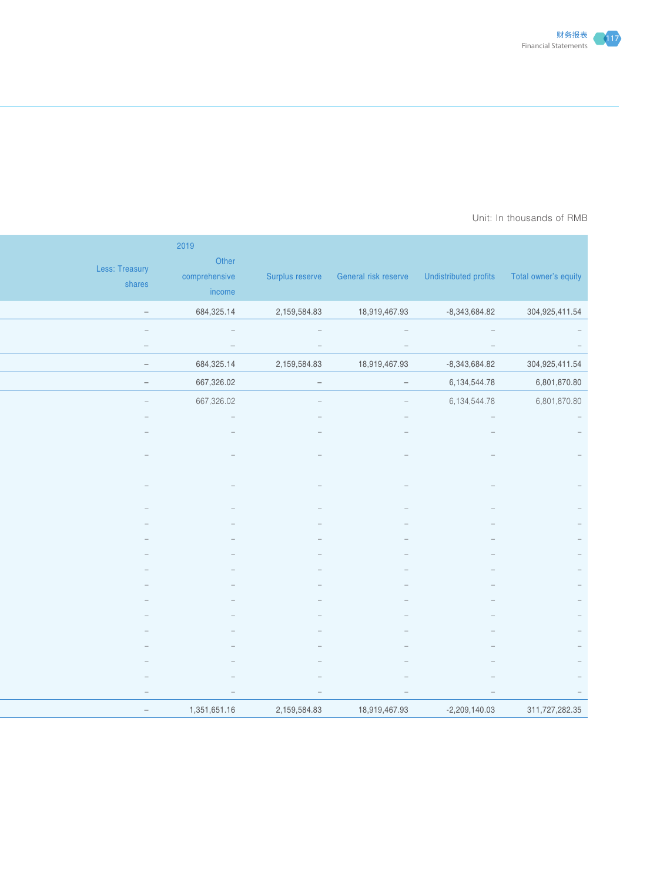

#### Prepared by: The Export-Importance Bank of AMB Unit: In thousands of RMB  $\,$

| Surplus reserve General risk reserve Undistributed profits Total owner's equity | 2019<br>Other<br>comprehensive<br>income | Less: Treasury<br>shares |
|---------------------------------------------------------------------------------|------------------------------------------|--------------------------|
| 2,159,584.83<br>18,919,467.93<br>$-8,343,684.82$<br>304,925,411.54              | 684,325.14                               | $\sim$                   |
| $\sim$<br>$\hspace{0.1cm} -$<br>$\sim$                                          | $\hspace{0.1cm} -$                       | $\hspace{0.1mm}$         |
| $\hspace{0.1mm}-\hspace{0.1mm}$<br>$\sim$<br>$\hspace{0.1mm}-\hspace{0.1mm}$    | $\hspace{0.1mm}-\hspace{0.1mm}$          | $\overline{\phantom{a}}$ |
| 2,159,584.83<br>304,925,411.54<br>18,919,467.93<br>$-8,343,684.82$              | 684,325.14                               | $\sim$                   |
| 6,134,544.78<br>6,801,870.80<br>$\sim$ $ \sim$<br>$\hspace{0.1cm} -$            | 667,326.02                               | $\sim$                   |
| 6,801,870.80<br>6,134,544.78<br>$\equiv$ .                                      | 667,326.02                               | $\sim$                   |
| $\hspace{0.1cm} -$                                                              |                                          |                          |
|                                                                                 |                                          |                          |
|                                                                                 |                                          |                          |
|                                                                                 |                                          |                          |
|                                                                                 |                                          |                          |
|                                                                                 |                                          |                          |
|                                                                                 |                                          |                          |
|                                                                                 |                                          |                          |
|                                                                                 |                                          |                          |
|                                                                                 |                                          |                          |
|                                                                                 |                                          |                          |
|                                                                                 |                                          |                          |
|                                                                                 |                                          |                          |
|                                                                                 |                                          |                          |
|                                                                                 |                                          |                          |
| $\hspace{0.1mm}-\hspace{0.1mm}$<br>$\hspace{0.1mm}-\hspace{0.1mm}$              |                                          |                          |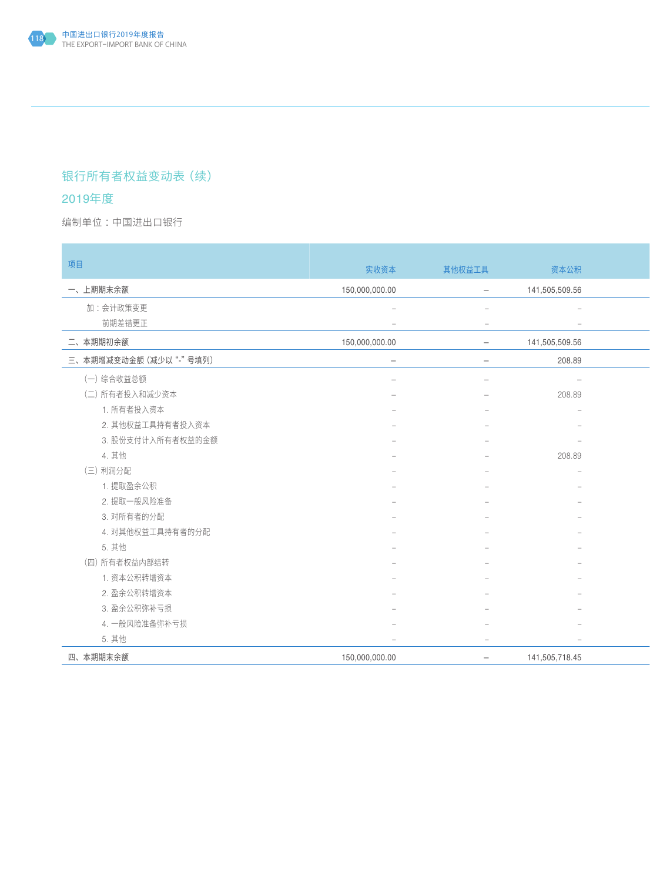## 银行所有者权益变动表(续)

### 2019年度

编制单位:中国进出口银行 : All and the second second in the second second second in the second second second in the second second second second second second second second second second second second second second second second secon

| 项目                     | 实收资本                     | 其他权益工具                            | 资本公积                     |  |
|------------------------|--------------------------|-----------------------------------|--------------------------|--|
| 一、上期期末余额               | 150,000,000.00           | $\overline{\phantom{a}}$          | 141,505,509.56           |  |
| 加:会计政策变更               | $\overline{\phantom{a}}$ | $\sim$                            | $\overline{\phantom{a}}$ |  |
| 前期差错更正                 |                          | $\hspace{0.1in} = \hspace{0.1in}$ | $\overline{\phantom{a}}$ |  |
| 二、本期期初余额               | 150,000,000.00           | $ \,$                             | 141,505,509.56           |  |
| 三、本期增减变动金额 (减少以"-"号填列) | $\overline{\phantom{0}}$ | $\overline{\phantom{a}}$          | 208.89                   |  |
| (一)综合收益总额              |                          |                                   | $\sim$                   |  |
| (二) 所有者投入和减少资本         |                          |                                   | 208.89                   |  |
| 1. 所有者投入资本             |                          |                                   |                          |  |
| 2. 其他权益工具持有者投入资本       |                          |                                   |                          |  |
| 3. 股份支付计入所有者权益的金额      |                          |                                   | $\overline{\phantom{a}}$ |  |
| 4. 其他                  |                          |                                   | 208.89                   |  |
| (三)利润分配                |                          |                                   | $\sim$                   |  |
| 1. 提取盈余公积              |                          |                                   |                          |  |
| 2. 提取一般风险准备            |                          |                                   |                          |  |
| 3. 对所有者的分配             |                          |                                   | $\overline{\phantom{m}}$ |  |
| 4. 对其他权益工具持有者的分配       |                          |                                   |                          |  |
| 5. 其他                  |                          |                                   |                          |  |
| (四) 所有者权益内部结转          |                          |                                   | $\qquad \qquad -$        |  |
| 1. 资本公积转增资本            |                          |                                   |                          |  |
| 2. 盈余公积转增资本            |                          |                                   | $\overline{\phantom{m}}$ |  |
| 3. 盈余公积弥补亏损            |                          |                                   |                          |  |
| 4. 一般风险准备弥补亏损          |                          |                                   |                          |  |
| 5. 其他                  | $\overline{\phantom{0}}$ | $\overline{\phantom{0}}$          | $\sim$                   |  |
| 四、本期期末余额               | 150,000,000.00           | $ \,$                             | 141,505,718.45           |  |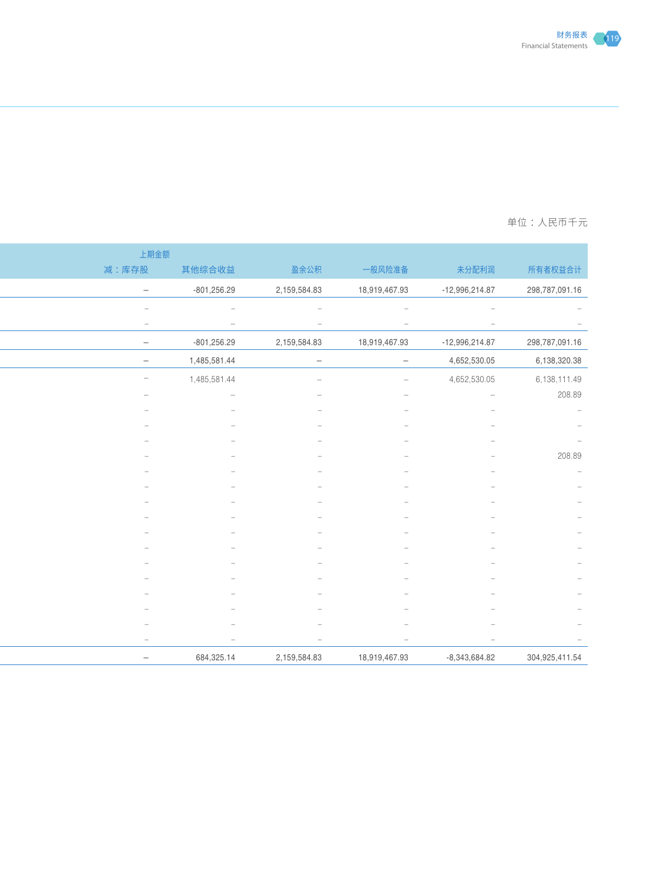

### 一个国土的第一个国土的第一个国土的第一个国土的第一个国土的第一个国土的第一个国土的<mark>单位:人民币十</mark>元

|                                 |                  |                          |                                 |                                 | 上期金额                     |
|---------------------------------|------------------|--------------------------|---------------------------------|---------------------------------|--------------------------|
| 所有者权益合计                         | 未分配利润            | 一般风险准备                   | 盈余公积                            | 其他综合收益                          | 减:库存股                    |
| 298,787,091.16                  | $-12,996,214.87$ | 18,919,467.93            | 2,159,584.83                    | $-801,256.29$                   | $\sim$                   |
| $\hspace{0.1mm}$                |                  |                          |                                 |                                 | $\overline{\phantom{a}}$ |
| $\hspace{0.1mm}-\hspace{0.1mm}$ | $\sim$           | $\overline{\phantom{a}}$ | $\hspace{0.1mm}-\hspace{0.1mm}$ | $\hspace{0.1mm}-\hspace{0.1mm}$ | $\sim$                   |
| 298,787,091.16                  | $-12,996,214.87$ | 18,919,467.93            | 2,159,584.83                    | $-801,256.29$                   | $\sim$                   |
| 6,138,320.38                    | 4,652,530.05     | $ \,$                    | $-$                             | 1,485,581.44                    | $\overline{\phantom{0}}$ |
| 6,138,111.49                    | 4,652,530.05     | $\sim$                   | $\sim$                          | 1,485,581.44                    | $\sim$                   |
| 208.89                          | $\sim$           |                          |                                 |                                 | $\hspace{0.1mm}$         |
|                                 |                  |                          |                                 |                                 |                          |
|                                 |                  |                          |                                 |                                 |                          |
| 208.89                          |                  |                          |                                 |                                 |                          |
|                                 |                  |                          |                                 |                                 |                          |
|                                 |                  |                          |                                 |                                 |                          |
|                                 |                  |                          |                                 |                                 |                          |
|                                 |                  |                          |                                 |                                 |                          |
|                                 |                  |                          |                                 |                                 |                          |
|                                 |                  |                          |                                 |                                 |                          |
|                                 |                  |                          |                                 |                                 |                          |
|                                 |                  |                          |                                 |                                 |                          |
|                                 |                  |                          |                                 |                                 |                          |
|                                 |                  |                          |                                 |                                 |                          |
|                                 |                  | $\overline{\phantom{0}}$ | $\overline{\phantom{a}}$        | $\overline{\phantom{a}}$        | $\sim$                   |
| 304,925,411.54                  | $-8,343,684.82$  | 18,919,467.93            | 2,159,584.83                    | 684,325.14                      | $\sim$                   |
|                                 |                  |                          |                                 |                                 |                          |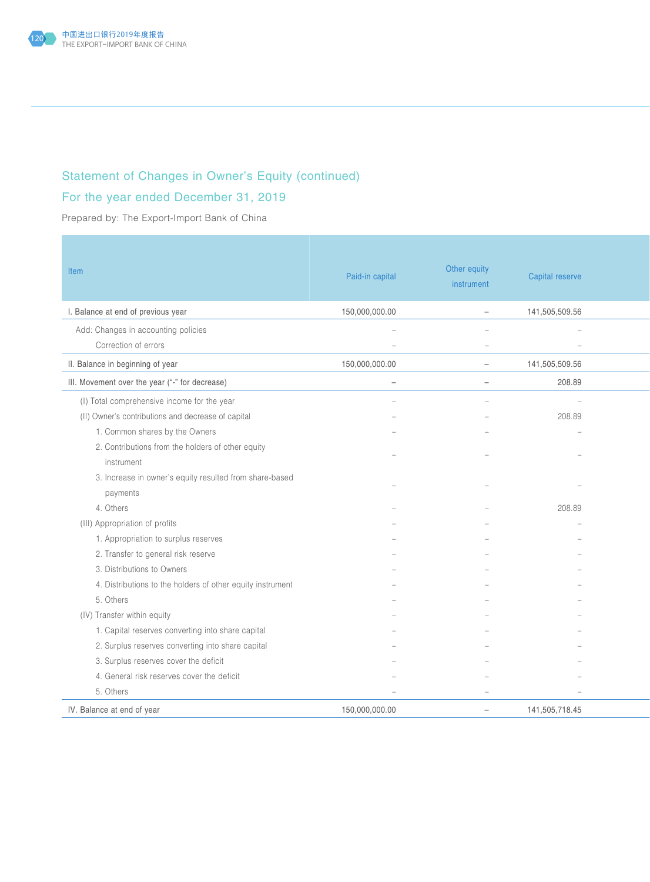

## Statement of Changes in Owner's Equity (continued)

## For the year ended December 31, 2019

Prepared by: The Export-Import Bank of China

| Item                                                       | Paid-in capital          | Other equity<br>instrument | Capital reserve          |  |
|------------------------------------------------------------|--------------------------|----------------------------|--------------------------|--|
| I. Balance at end of previous year                         | 150,000,000.00           | $\equiv$                   | 141,505,509.56           |  |
| Add: Changes in accounting policies                        |                          | $\sim$                     | $\overline{\phantom{a}}$ |  |
| Correction of errors                                       |                          | $\sim$                     | $\overline{\phantom{a}}$ |  |
| II. Balance in beginning of year                           | 150,000,000.00           | $\sim$                     | 141,505,509.56           |  |
| III. Movement over the year ("-" for decrease)             | $\overline{\phantom{a}}$ | $\sim$                     | 208.89                   |  |
| (I) Total comprehensive income for the year                |                          | $\sim$                     | $\overline{\phantom{a}}$ |  |
| (II) Owner's contributions and decrease of capital         |                          |                            | 208.89                   |  |
| 1. Common shares by the Owners                             |                          |                            |                          |  |
| 2. Contributions from the holders of other equity          |                          |                            |                          |  |
| instrument                                                 |                          |                            |                          |  |
| 3. Increase in owner's equity resulted from share-based    |                          |                            |                          |  |
| payments                                                   |                          |                            |                          |  |
| 4. Others                                                  |                          |                            | 208.89                   |  |
| (III) Appropriation of profits                             |                          |                            |                          |  |
| 1. Appropriation to surplus reserves                       |                          |                            |                          |  |
| 2. Transfer to general risk reserve                        |                          |                            |                          |  |
| 3. Distributions to Owners                                 |                          |                            |                          |  |
| 4. Distributions to the holders of other equity instrument |                          |                            |                          |  |
| 5. Others                                                  |                          |                            |                          |  |
| (IV) Transfer within equity                                |                          |                            |                          |  |
| 1. Capital reserves converting into share capital          |                          |                            |                          |  |
| 2. Surplus reserves converting into share capital          |                          |                            |                          |  |
| 3. Surplus reserves cover the deficit                      |                          |                            |                          |  |
| 4. General risk reserves cover the deficit                 |                          |                            |                          |  |
| 5. Others                                                  |                          | $\overline{\phantom{a}}$   | $\overline{\phantom{a}}$ |  |
| IV. Balance at end of year                                 | 150,000,000.00           | $\sim$                     | 141,505,718.45           |  |